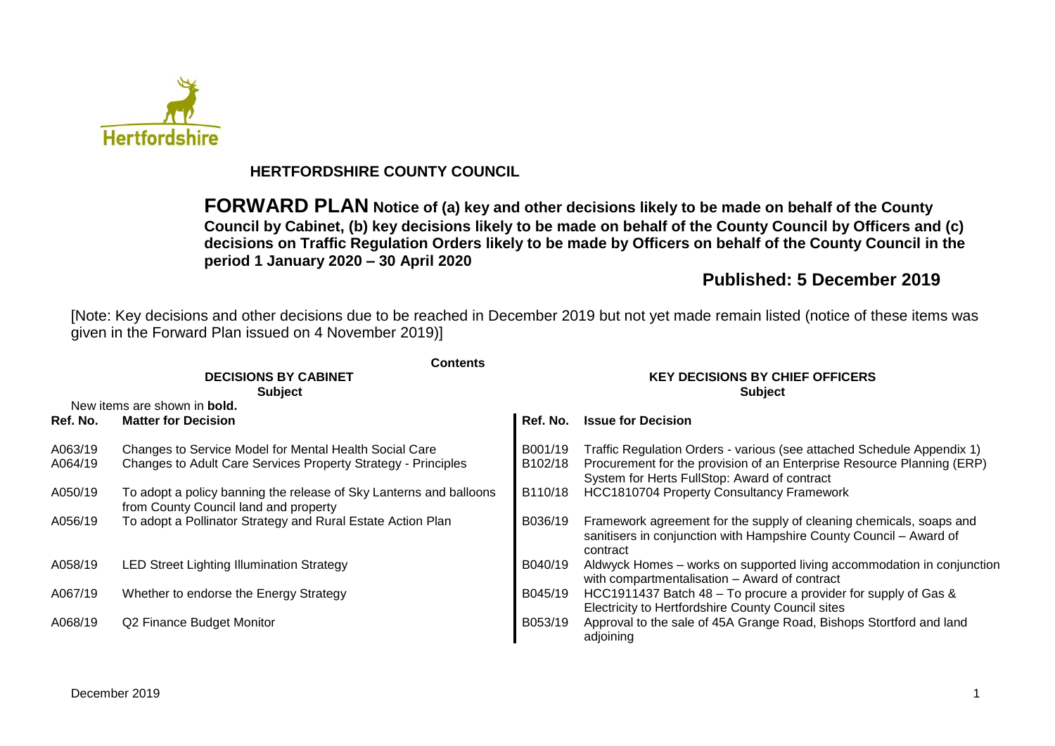

## **HERTFORDSHIRE COUNTY COUNCIL**

**FORWARD PLAN Notice of (a) key and other decisions likely to be made on behalf of the County Council by Cabinet, (b) key decisions likely to be made on behalf of the County Council by Officers and (c) decisions on Traffic Regulation Orders likely to be made by Officers on behalf of the County Council in the period 1 January 2020 – 30 April 2020**

## **Published: 5 December 2019**

[Note: Key decisions and other decisions due to be reached in December 2019 but not yet made remain listed (notice of these items was given in the Forward Plan issued on 4 November 2019)]

|          | Contents                                                                                                    |                                                          |                                                                                                                                                       |  |  |
|----------|-------------------------------------------------------------------------------------------------------------|----------------------------------------------------------|-------------------------------------------------------------------------------------------------------------------------------------------------------|--|--|
|          | <b>DECISIONS BY CABINET</b><br><b>Subject</b>                                                               | <b>KEY DECISIONS BY CHIEF OFFICERS</b><br><b>Subject</b> |                                                                                                                                                       |  |  |
|          | New items are shown in <b>bold.</b>                                                                         |                                                          |                                                                                                                                                       |  |  |
| Ref. No. | <b>Matter for Decision</b>                                                                                  | Ref. No.                                                 | <b>Issue for Decision</b>                                                                                                                             |  |  |
| A063/19  | Changes to Service Model for Mental Health Social Care                                                      | B001/19                                                  | Traffic Regulation Orders - various (see attached Schedule Appendix 1)                                                                                |  |  |
| A064/19  | Changes to Adult Care Services Property Strategy - Principles                                               | B <sub>102</sub> /18                                     | Procurement for the provision of an Enterprise Resource Planning (ERP)<br>System for Herts FullStop: Award of contract                                |  |  |
| A050/19  | To adopt a policy banning the release of Sky Lanterns and balloons<br>from County Council land and property | B110/18                                                  | <b>HCC1810704 Property Consultancy Framework</b>                                                                                                      |  |  |
| A056/19  | To adopt a Pollinator Strategy and Rural Estate Action Plan                                                 | B036/19                                                  | Framework agreement for the supply of cleaning chemicals, soaps and<br>sanitisers in conjunction with Hampshire County Council - Award of<br>contract |  |  |
| A058/19  | <b>LED Street Lighting Illumination Strategy</b>                                                            | B040/19                                                  | Aldwyck Homes – works on supported living accommodation in conjunction<br>with compartmentalisation - Award of contract                               |  |  |
| A067/19  | Whether to endorse the Energy Strategy                                                                      | B045/19                                                  | HCC1911437 Batch 48 – To procure a provider for supply of Gas &<br>Electricity to Hertfordshire County Council sites                                  |  |  |
| A068/19  | Q2 Finance Budget Monitor                                                                                   | B053/19                                                  | Approval to the sale of 45A Grange Road, Bishops Stortford and land<br>adjoining                                                                      |  |  |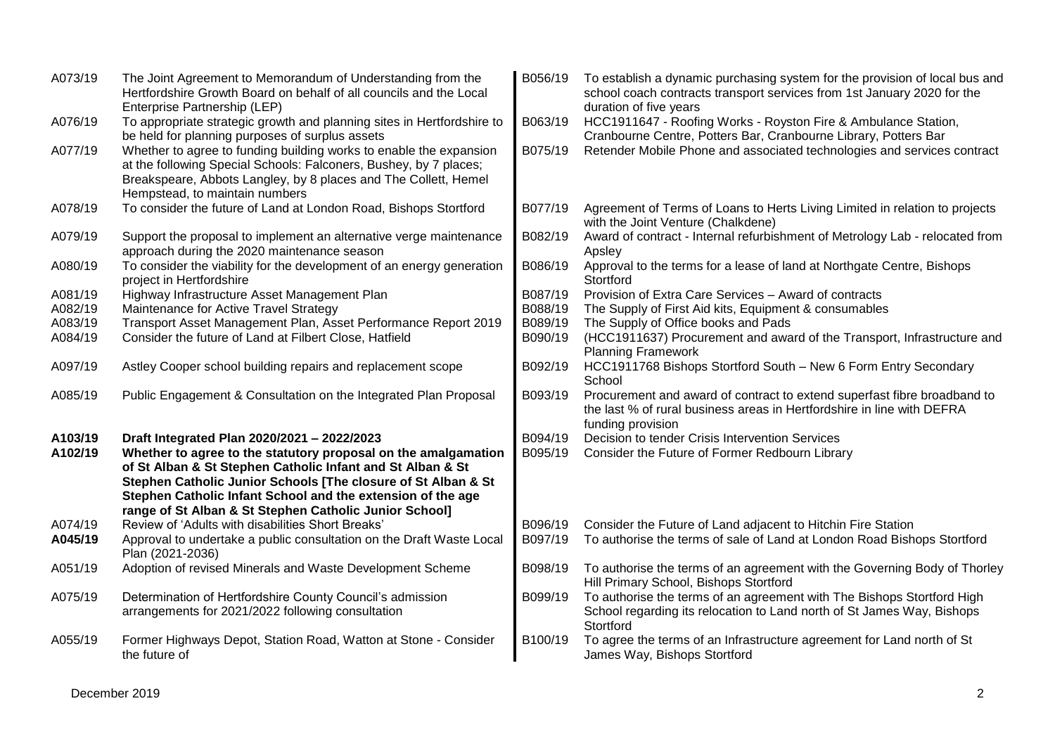| A073/19 | The Joint Agreement to Memorandum of Understanding from the<br>Hertfordshire Growth Board on behalf of all councils and the Local<br>Enterprise Partnership (LEP)                                                                                                                                                      | B056/19 | To establish a dynamic purchasing system for the provision of local bus and<br>school coach contracts transport services from 1st January 2020 for the<br>duration of five years |
|---------|------------------------------------------------------------------------------------------------------------------------------------------------------------------------------------------------------------------------------------------------------------------------------------------------------------------------|---------|----------------------------------------------------------------------------------------------------------------------------------------------------------------------------------|
| A076/19 | To appropriate strategic growth and planning sites in Hertfordshire to<br>be held for planning purposes of surplus assets                                                                                                                                                                                              | B063/19 | HCC1911647 - Roofing Works - Royston Fire & Ambulance Station,<br>Cranbourne Centre, Potters Bar, Cranbourne Library, Potters Bar                                                |
| A077/19 | Whether to agree to funding building works to enable the expansion<br>at the following Special Schools: Falconers, Bushey, by 7 places;<br>Breakspeare, Abbots Langley, by 8 places and The Collett, Hemel<br>Hempstead, to maintain numbers                                                                           | B075/19 | Retender Mobile Phone and associated technologies and services contract                                                                                                          |
| A078/19 | To consider the future of Land at London Road, Bishops Stortford                                                                                                                                                                                                                                                       | B077/19 | Agreement of Terms of Loans to Herts Living Limited in relation to projects<br>with the Joint Venture (Chalkdene)                                                                |
| A079/19 | Support the proposal to implement an alternative verge maintenance<br>approach during the 2020 maintenance season                                                                                                                                                                                                      | B082/19 | Award of contract - Internal refurbishment of Metrology Lab - relocated from<br>Apsley                                                                                           |
| A080/19 | To consider the viability for the development of an energy generation<br>project in Hertfordshire                                                                                                                                                                                                                      | B086/19 | Approval to the terms for a lease of land at Northgate Centre, Bishops<br>Stortford                                                                                              |
| A081/19 | Highway Infrastructure Asset Management Plan                                                                                                                                                                                                                                                                           | B087/19 | Provision of Extra Care Services - Award of contracts                                                                                                                            |
| A082/19 | Maintenance for Active Travel Strategy                                                                                                                                                                                                                                                                                 | B088/19 | The Supply of First Aid kits, Equipment & consumables                                                                                                                            |
| A083/19 | Transport Asset Management Plan, Asset Performance Report 2019                                                                                                                                                                                                                                                         | B089/19 | The Supply of Office books and Pads                                                                                                                                              |
| A084/19 | Consider the future of Land at Filbert Close, Hatfield                                                                                                                                                                                                                                                                 | B090/19 | (HCC1911637) Procurement and award of the Transport, Infrastructure and<br><b>Planning Framework</b>                                                                             |
| A097/19 | Astley Cooper school building repairs and replacement scope                                                                                                                                                                                                                                                            | B092/19 | HCC1911768 Bishops Stortford South - New 6 Form Entry Secondary<br>School                                                                                                        |
| A085/19 | Public Engagement & Consultation on the Integrated Plan Proposal                                                                                                                                                                                                                                                       | B093/19 | Procurement and award of contract to extend superfast fibre broadband to<br>the last % of rural business areas in Hertfordshire in line with DEFRA<br>funding provision          |
| A103/19 | Draft Integrated Plan 2020/2021 - 2022/2023                                                                                                                                                                                                                                                                            | B094/19 | Decision to tender Crisis Intervention Services                                                                                                                                  |
| A102/19 | Whether to agree to the statutory proposal on the amalgamation<br>of St Alban & St Stephen Catholic Infant and St Alban & St<br>Stephen Catholic Junior Schools [The closure of St Alban & St<br>Stephen Catholic Infant School and the extension of the age<br>range of St Alban & St Stephen Catholic Junior School] | B095/19 | Consider the Future of Former Redbourn Library                                                                                                                                   |
| A074/19 | Review of 'Adults with disabilities Short Breaks'                                                                                                                                                                                                                                                                      | B096/19 | Consider the Future of Land adjacent to Hitchin Fire Station                                                                                                                     |
| A045/19 | Approval to undertake a public consultation on the Draft Waste Local<br>Plan (2021-2036)                                                                                                                                                                                                                               | B097/19 | To authorise the terms of sale of Land at London Road Bishops Stortford                                                                                                          |
| A051/19 | Adoption of revised Minerals and Waste Development Scheme                                                                                                                                                                                                                                                              | B098/19 | To authorise the terms of an agreement with the Governing Body of Thorley<br>Hill Primary School, Bishops Stortford                                                              |
| A075/19 | Determination of Hertfordshire County Council's admission<br>arrangements for 2021/2022 following consultation                                                                                                                                                                                                         | B099/19 | To authorise the terms of an agreement with The Bishops Stortford High<br>School regarding its relocation to Land north of St James Way, Bishops<br>Stortford                    |
| A055/19 | Former Highways Depot, Station Road, Watton at Stone - Consider<br>the future of                                                                                                                                                                                                                                       | B100/19 | To agree the terms of an Infrastructure agreement for Land north of St<br>James Way, Bishops Stortford                                                                           |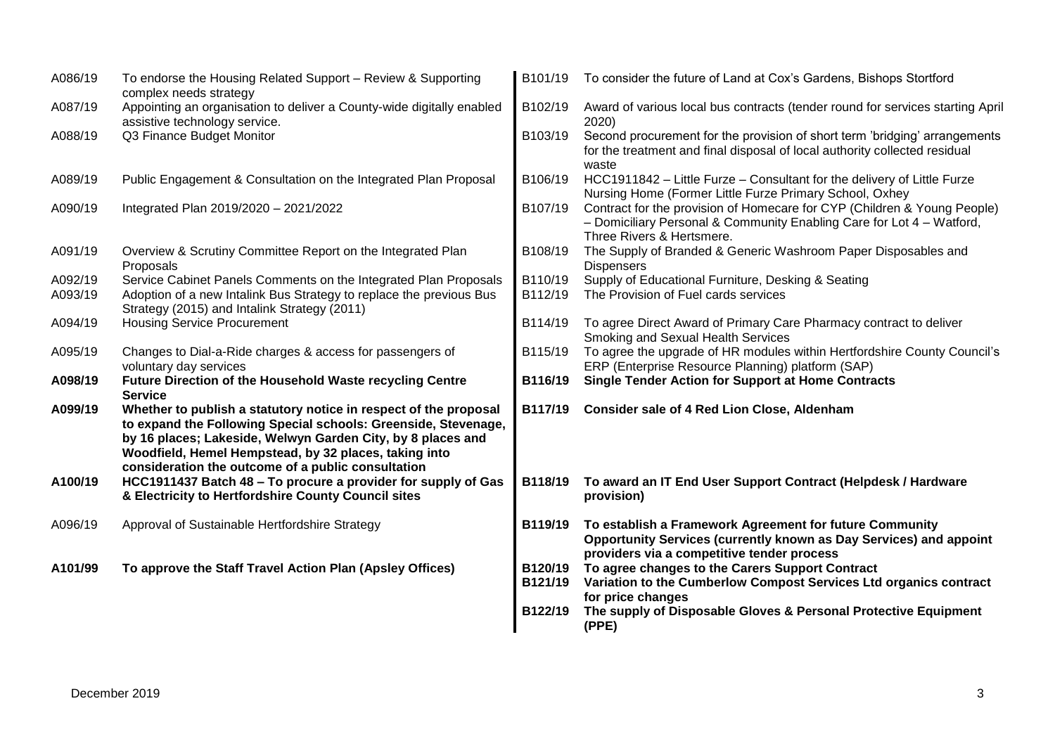| A086/19            | To endorse the Housing Related Support - Review & Supporting<br>complex needs strategy                                                                                                                                                                                                                           | B101/19            | To consider the future of Land at Cox's Gardens, Bishops Stortford                                                                                                             |
|--------------------|------------------------------------------------------------------------------------------------------------------------------------------------------------------------------------------------------------------------------------------------------------------------------------------------------------------|--------------------|--------------------------------------------------------------------------------------------------------------------------------------------------------------------------------|
| A087/19            | Appointing an organisation to deliver a County-wide digitally enabled<br>assistive technology service.                                                                                                                                                                                                           | B102/19            | Award of various local bus contracts (tender round for services starting April<br>2020)                                                                                        |
| A088/19            | Q3 Finance Budget Monitor                                                                                                                                                                                                                                                                                        | B103/19            | Second procurement for the provision of short term 'bridging' arrangements<br>for the treatment and final disposal of local authority collected residual<br>waste              |
| A089/19            | Public Engagement & Consultation on the Integrated Plan Proposal                                                                                                                                                                                                                                                 | B106/19            | HCC1911842 - Little Furze - Consultant for the delivery of Little Furze<br>Nursing Home (Former Little Furze Primary School, Oxhey                                             |
| A090/19            | Integrated Plan 2019/2020 - 2021/2022                                                                                                                                                                                                                                                                            | B107/19            | Contract for the provision of Homecare for CYP (Children & Young People)<br>- Domiciliary Personal & Community Enabling Care for Lot 4 - Watford,<br>Three Rivers & Hertsmere. |
| A091/19            | Overview & Scrutiny Committee Report on the Integrated Plan<br>Proposals                                                                                                                                                                                                                                         | B108/19            | The Supply of Branded & Generic Washroom Paper Disposables and<br><b>Dispensers</b>                                                                                            |
| A092/19<br>A093/19 | Service Cabinet Panels Comments on the Integrated Plan Proposals<br>Adoption of a new Intalink Bus Strategy to replace the previous Bus<br>Strategy (2015) and Intalink Strategy (2011)                                                                                                                          | B110/19<br>B112/19 | Supply of Educational Furniture, Desking & Seating<br>The Provision of Fuel cards services                                                                                     |
| A094/19            | <b>Housing Service Procurement</b>                                                                                                                                                                                                                                                                               | B114/19            | To agree Direct Award of Primary Care Pharmacy contract to deliver<br>Smoking and Sexual Health Services                                                                       |
| A095/19            | Changes to Dial-a-Ride charges & access for passengers of<br>voluntary day services                                                                                                                                                                                                                              | B115/19            | To agree the upgrade of HR modules within Hertfordshire County Council's<br>ERP (Enterprise Resource Planning) platform (SAP)                                                  |
| A098/19            | Future Direction of the Household Waste recycling Centre<br><b>Service</b>                                                                                                                                                                                                                                       | B116/19            | <b>Single Tender Action for Support at Home Contracts</b>                                                                                                                      |
| A099/19            | Whether to publish a statutory notice in respect of the proposal<br>to expand the Following Special schools: Greenside, Stevenage,<br>by 16 places; Lakeside, Welwyn Garden City, by 8 places and<br>Woodfield, Hemel Hempstead, by 32 places, taking into<br>consideration the outcome of a public consultation | <b>B117/19</b>     | <b>Consider sale of 4 Red Lion Close, Aldenham</b>                                                                                                                             |
| A100/19            | HCC1911437 Batch 48 - To procure a provider for supply of Gas<br>& Electricity to Hertfordshire County Council sites                                                                                                                                                                                             | B118/19            | To award an IT End User Support Contract (Helpdesk / Hardware<br>provision)                                                                                                    |
| A096/19            | Approval of Sustainable Hertfordshire Strategy                                                                                                                                                                                                                                                                   | B119/19            | To establish a Framework Agreement for future Community<br>Opportunity Services (currently known as Day Services) and appoint<br>providers via a competitive tender process    |
| A101/99            | To approve the Staff Travel Action Plan (Apsley Offices)                                                                                                                                                                                                                                                         | B120/19<br>B121/19 | To agree changes to the Carers Support Contract<br>Variation to the Cumberlow Compost Services Ltd organics contract<br>for price changes                                      |
|                    |                                                                                                                                                                                                                                                                                                                  | B122/19            | The supply of Disposable Gloves & Personal Protective Equipment<br>(PPE)                                                                                                       |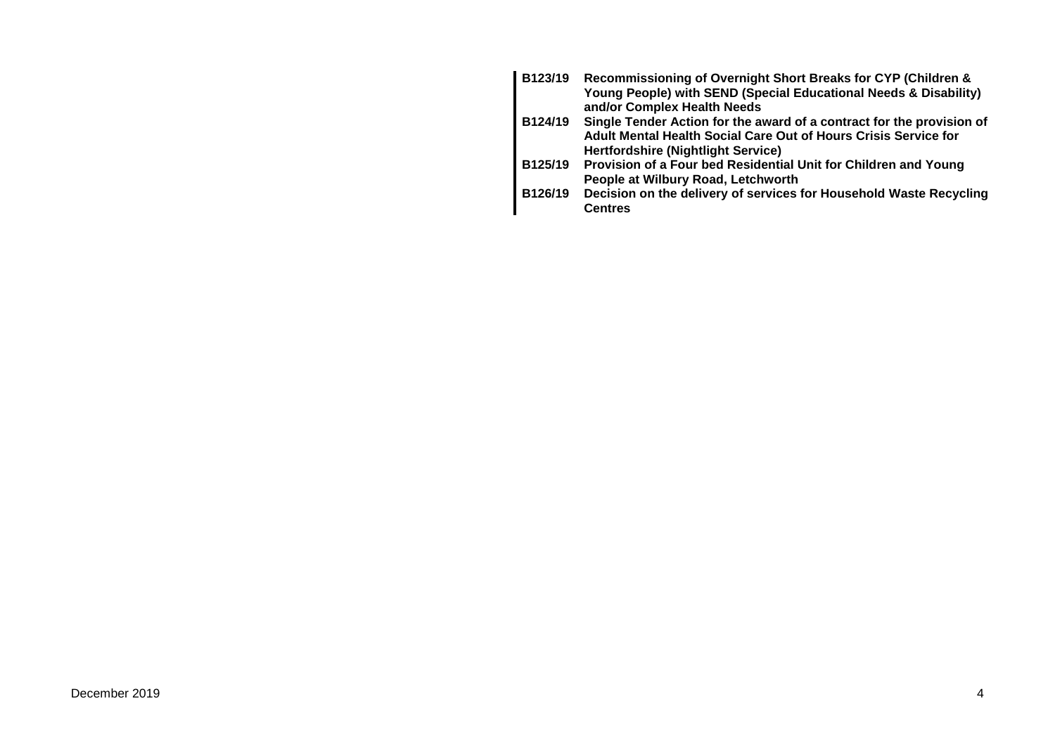| B123/19 | Recommissioning of Overnight Short Breaks for CYP (Children &         |
|---------|-----------------------------------------------------------------------|
|         | Young People) with SEND (Special Educational Needs & Disability)      |
|         | and/or Complex Health Needs                                           |
| B124/19 | Single Tender Action for the award of a contract for the provision of |
|         | Adult Mental Health Social Care Out of Hours Crisis Service for       |
|         | <b>Hertfordshire (Nightlight Service)</b>                             |
| B125/19 | Provision of a Four bed Residential Unit for Children and Young       |
|         | People at Wilbury Road, Letchworth                                    |
| B126/19 | Decision on the delivery of services for Household Waste Recycling    |
|         | <b>Centres</b>                                                        |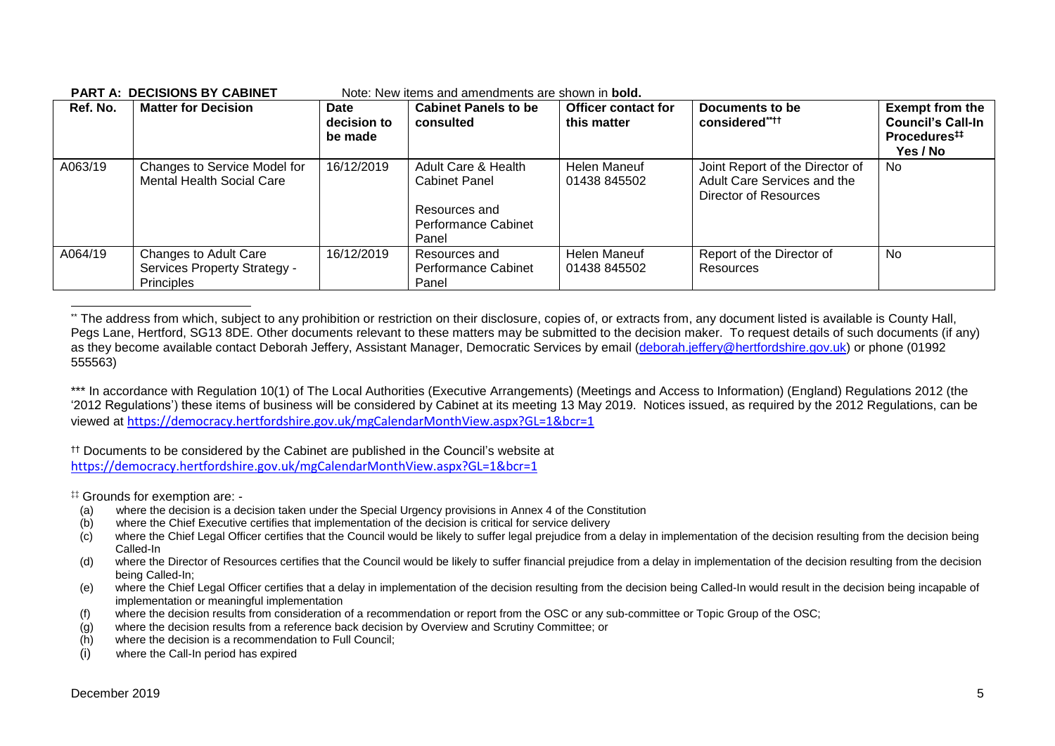| Ref. No. | <b>Matter for Decision</b>                                                 | Date<br>decision to<br>be made | <b>Cabinet Panels to be</b><br>consulted                                                            | <b>Officer contact for</b><br>this matter | Documents to be<br>considered****                                                       | <b>Exempt from the</b><br><b>Council's Call-In</b><br>Procedures <sup>##</sup><br>Yes / No |
|----------|----------------------------------------------------------------------------|--------------------------------|-----------------------------------------------------------------------------------------------------|-------------------------------------------|-----------------------------------------------------------------------------------------|--------------------------------------------------------------------------------------------|
| A063/19  | Changes to Service Model for<br><b>Mental Health Social Care</b>           | 16/12/2019                     | Adult Care & Health<br><b>Cabinet Panel</b><br>Resources and<br><b>Performance Cabinet</b><br>Panel | Helen Maneuf<br>01438 845502              | Joint Report of the Director of<br>Adult Care Services and the<br>Director of Resources | <b>No</b>                                                                                  |
| A064/19  | Changes to Adult Care<br>Services Property Strategy -<br><b>Principles</b> | 16/12/2019                     | Resources and<br><b>Performance Cabinet</b><br>Panel                                                | Helen Maneuf<br>01438 845502              | Report of the Director of<br>Resources                                                  | <b>No</b>                                                                                  |

#### **PART A: DECISIONS BY CABINET** Note: New items and amendments are shown in **bold.**

\*\* The address from which, subject to any prohibition or restriction on their disclosure, copies of, or extracts from, any document listed is available is County Hall, Pegs Lane, Hertford, SG13 8DE. Other documents relevant to these matters may be submitted to the decision maker. To request details of such documents (if any) as they become available contact Deborah Jeffery, Assistant Manager, Democratic Services by email [\(deborah.jeffery@hertfordshire.gov.uk\)](mailto:deborah.jeffery@hertfordshire.gov.uk) or phone (01992 555563)

\*\*\* In accordance with Regulation 10(1) of The Local Authorities (Executive Arrangements) (Meetings and Access to Information) (England) Regulations 2012 (the '2012 Regulations') these items of business will be considered by Cabinet at its meeting 13 May 2019. Notices issued, as required by the 2012 Regulations, can be viewed at <https://democracy.hertfordshire.gov.uk/mgCalendarMonthView.aspx?GL=1&bcr=1>

†† Documents to be considered by the Cabinet are published in the Council's website at <https://democracy.hertfordshire.gov.uk/mgCalendarMonthView.aspx?GL=1&bcr=1>

‡‡ Grounds for exemption are: -

- (a) where the decision is a decision taken under the Special Urgency provisions in Annex 4 of the Constitution
- (b) where the Chief Executive certifies that implementation of the decision is critical for service delivery
- (c) where the Chief Legal Officer certifies that the Council would be likely to suffer legal prejudice from a delay in implementation of the decision resulting from the decision being Called-In
- (d) where the Director of Resources certifies that the Council would be likely to suffer financial prejudice from a delay in implementation of the decision resulting from the decision being Called-In;
- (e) where the Chief Legal Officer certifies that a delay in implementation of the decision resulting from the decision being Called-In would result in the decision being incapable of implementation or meaningful implementation
- (f) where the decision results from consideration of a recommendation or report from the OSC or any sub-committee or Topic Group of the OSC;
- (g) where the decision results from a reference back decision by Overview and Scrutiny Committee; or
- (h) where the decision is a recommendation to Full Council;
- (i) where the Call-In period has expired

1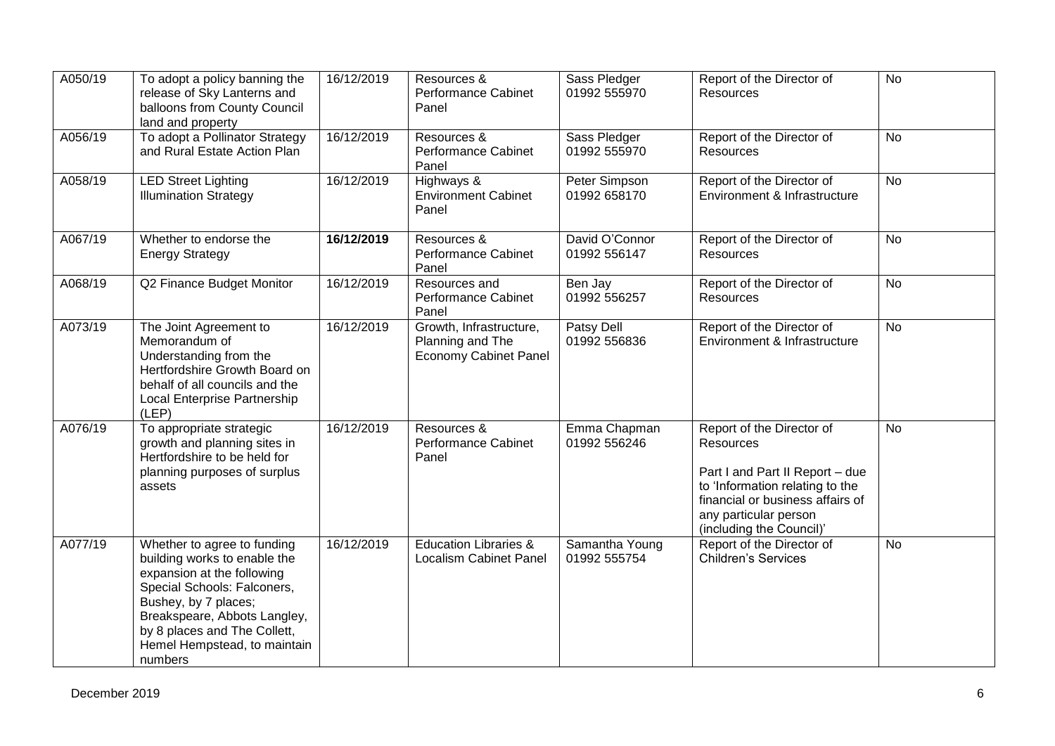| A050/19 | To adopt a policy banning the<br>release of Sky Lanterns and<br>balloons from County Council<br>land and property                                                                                                                                           | 16/12/2019 | Resources &<br>Performance Cabinet<br>Panel                                 | Sass Pledger<br>01992 555970   | Report of the Director of<br>Resources                                                                                                                                                                | $\overline{N}$ |
|---------|-------------------------------------------------------------------------------------------------------------------------------------------------------------------------------------------------------------------------------------------------------------|------------|-----------------------------------------------------------------------------|--------------------------------|-------------------------------------------------------------------------------------------------------------------------------------------------------------------------------------------------------|----------------|
| A056/19 | To adopt a Pollinator Strategy<br>and Rural Estate Action Plan                                                                                                                                                                                              | 16/12/2019 | Resources &<br>Performance Cabinet<br>Panel                                 | Sass Pledger<br>01992 555970   | Report of the Director of<br>Resources                                                                                                                                                                | <b>No</b>      |
| A058/19 | <b>LED Street Lighting</b><br><b>Illumination Strategy</b>                                                                                                                                                                                                  | 16/12/2019 | Highways &<br><b>Environment Cabinet</b><br>Panel                           | Peter Simpson<br>01992 658170  | Report of the Director of<br>Environment & Infrastructure                                                                                                                                             | <b>No</b>      |
| A067/19 | Whether to endorse the<br><b>Energy Strategy</b>                                                                                                                                                                                                            | 16/12/2019 | Resources &<br>Performance Cabinet<br>Panel                                 | David O'Connor<br>01992 556147 | Report of the Director of<br><b>Resources</b>                                                                                                                                                         | <b>No</b>      |
| A068/19 | Q2 Finance Budget Monitor                                                                                                                                                                                                                                   | 16/12/2019 | Resources and<br>Performance Cabinet<br>Panel                               | Ben Jay<br>01992 556257        | Report of the Director of<br>Resources                                                                                                                                                                | <b>No</b>      |
| A073/19 | The Joint Agreement to<br>Memorandum of<br>Understanding from the<br>Hertfordshire Growth Board on<br>behalf of all councils and the<br>Local Enterprise Partnership<br>(LEP)                                                                               | 16/12/2019 | Growth, Infrastructure,<br>Planning and The<br><b>Economy Cabinet Panel</b> | Patsy Dell<br>01992 556836     | Report of the Director of<br>Environment & Infrastructure                                                                                                                                             | No             |
| A076/19 | To appropriate strategic<br>growth and planning sites in<br>Hertfordshire to be held for<br>planning purposes of surplus<br>assets                                                                                                                          | 16/12/2019 | Resources &<br>Performance Cabinet<br>Panel                                 | Emma Chapman<br>01992 556246   | Report of the Director of<br>Resources<br>Part I and Part II Report - due<br>to 'Information relating to the<br>financial or business affairs of<br>any particular person<br>(including the Council)' | <b>No</b>      |
| A077/19 | Whether to agree to funding<br>building works to enable the<br>expansion at the following<br>Special Schools: Falconers,<br>Bushey, by 7 places;<br>Breakspeare, Abbots Langley,<br>by 8 places and The Collett,<br>Hemel Hempstead, to maintain<br>numbers | 16/12/2019 | <b>Education Libraries &amp;</b><br><b>Localism Cabinet Panel</b>           | Samantha Young<br>01992 555754 | Report of the Director of<br><b>Children's Services</b>                                                                                                                                               | <b>No</b>      |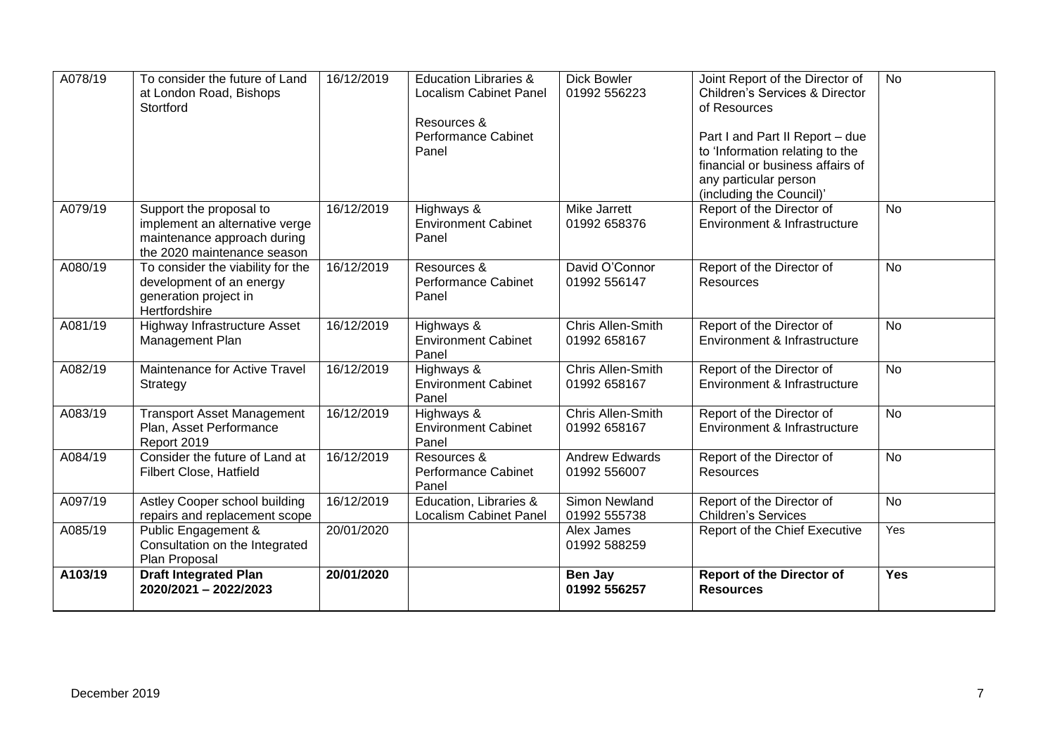| A078/19 | To consider the future of Land<br>at London Road, Bishops<br>Stortford                                                  | 16/12/2019 | <b>Education Libraries &amp;</b><br><b>Localism Cabinet Panel</b><br>Resources &<br><b>Performance Cabinet</b><br>Panel | <b>Dick Bowler</b><br>01992 556223    | Joint Report of the Director of<br><b>Children's Services &amp; Director</b><br>of Resources<br>Part I and Part II Report - due<br>to 'Information relating to the | <b>No</b>  |
|---------|-------------------------------------------------------------------------------------------------------------------------|------------|-------------------------------------------------------------------------------------------------------------------------|---------------------------------------|--------------------------------------------------------------------------------------------------------------------------------------------------------------------|------------|
|         |                                                                                                                         |            |                                                                                                                         |                                       | financial or business affairs of<br>any particular person<br>(including the Council)'                                                                              |            |
| A079/19 | Support the proposal to<br>implement an alternative verge<br>maintenance approach during<br>the 2020 maintenance season | 16/12/2019 | Highways &<br><b>Environment Cabinet</b><br>Panel                                                                       | Mike Jarrett<br>01992 658376          | Report of the Director of<br>Environment & Infrastructure                                                                                                          | <b>No</b>  |
| A080/19 | To consider the viability for the<br>development of an energy<br>generation project in<br>Hertfordshire                 | 16/12/2019 | Resources &<br>Performance Cabinet<br>Panel                                                                             | David O'Connor<br>01992 556147        | Report of the Director of<br>Resources                                                                                                                             | <b>No</b>  |
| A081/19 | Highway Infrastructure Asset<br>Management Plan                                                                         | 16/12/2019 | Highways &<br><b>Environment Cabinet</b><br>Panel                                                                       | Chris Allen-Smith<br>01992 658167     | Report of the Director of<br>Environment & Infrastructure                                                                                                          | <b>No</b>  |
| A082/19 | Maintenance for Active Travel<br>Strategy                                                                               | 16/12/2019 | Highways &<br><b>Environment Cabinet</b><br>Panel                                                                       | Chris Allen-Smith<br>01992 658167     | Report of the Director of<br>Environment & Infrastructure                                                                                                          | <b>No</b>  |
| A083/19 | <b>Transport Asset Management</b><br>Plan, Asset Performance<br>Report 2019                                             | 16/12/2019 | Highways &<br><b>Environment Cabinet</b><br>Panel                                                                       | Chris Allen-Smith<br>01992 658167     | Report of the Director of<br>Environment & Infrastructure                                                                                                          | <b>No</b>  |
| A084/19 | Consider the future of Land at<br>Filbert Close, Hatfield                                                               | 16/12/2019 | Resources &<br><b>Performance Cabinet</b><br>Panel                                                                      | <b>Andrew Edwards</b><br>01992 556007 | Report of the Director of<br>Resources                                                                                                                             | <b>No</b>  |
| A097/19 | Astley Cooper school building<br>repairs and replacement scope                                                          | 16/12/2019 | Education, Libraries &<br><b>Localism Cabinet Panel</b>                                                                 | Simon Newland<br>01992 555738         | Report of the Director of<br><b>Children's Services</b>                                                                                                            | <b>No</b>  |
| A085/19 | Public Engagement &<br>Consultation on the Integrated<br>Plan Proposal                                                  | 20/01/2020 |                                                                                                                         | Alex James<br>01992 588259            | Report of the Chief Executive                                                                                                                                      | Yes        |
| A103/19 | <b>Draft Integrated Plan</b><br>2020/2021 - 2022/2023                                                                   | 20/01/2020 |                                                                                                                         | Ben Jay<br>01992 556257               | <b>Report of the Director of</b><br><b>Resources</b>                                                                                                               | <b>Yes</b> |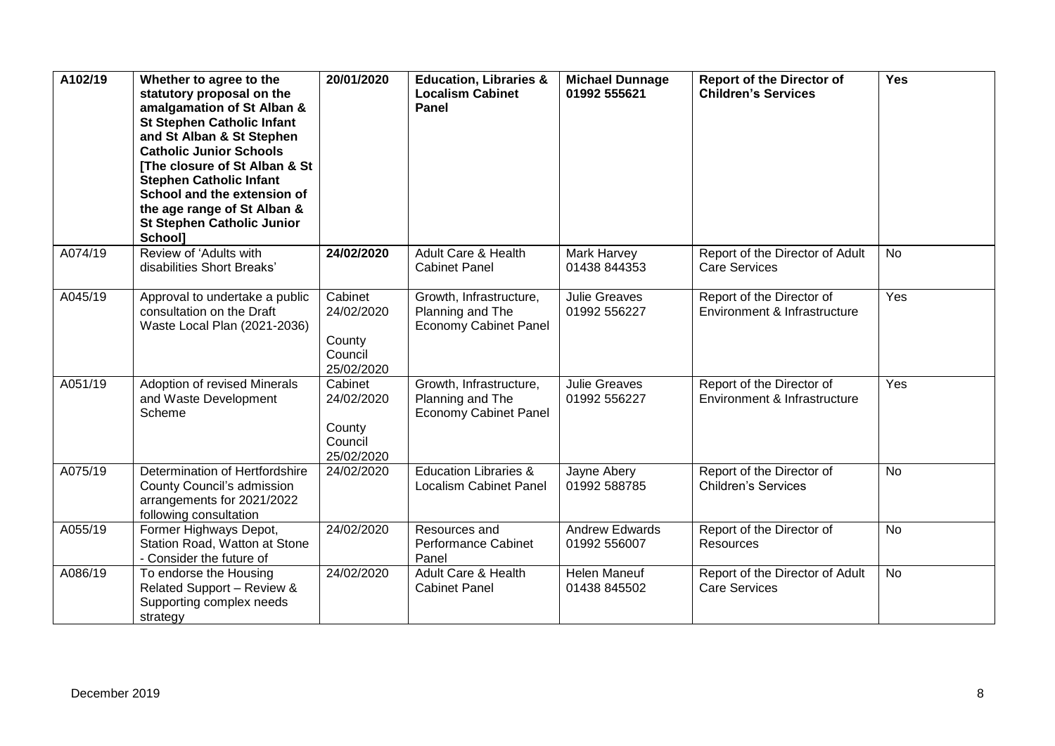| A102/19 | Whether to agree to the<br>statutory proposal on the<br>amalgamation of St Alban &<br><b>St Stephen Catholic Infant</b><br>and St Alban & St Stephen<br><b>Catholic Junior Schools</b><br>[The closure of St Alban & St<br><b>Stephen Catholic Infant</b><br>School and the extension of<br>the age range of St Alban &<br><b>St Stephen Catholic Junior</b><br>School] | 20/01/2020                                               | <b>Education, Libraries &amp;</b><br><b>Localism Cabinet</b><br>Panel       | <b>Michael Dunnage</b><br>01992 555621 | <b>Report of the Director of</b><br><b>Children's Services</b> | Yes       |
|---------|-------------------------------------------------------------------------------------------------------------------------------------------------------------------------------------------------------------------------------------------------------------------------------------------------------------------------------------------------------------------------|----------------------------------------------------------|-----------------------------------------------------------------------------|----------------------------------------|----------------------------------------------------------------|-----------|
| A074/19 | Review of 'Adults with<br>disabilities Short Breaks'                                                                                                                                                                                                                                                                                                                    | 24/02/2020                                               | Adult Care & Health<br><b>Cabinet Panel</b>                                 | Mark Harvey<br>01438 844353            | Report of the Director of Adult<br><b>Care Services</b>        | <b>No</b> |
| A045/19 | Approval to undertake a public<br>consultation on the Draft<br>Waste Local Plan (2021-2036)                                                                                                                                                                                                                                                                             | Cabinet<br>24/02/2020<br>County<br>Council<br>25/02/2020 | Growth, Infrastructure,<br>Planning and The<br><b>Economy Cabinet Panel</b> | <b>Julie Greaves</b><br>01992 556227   | Report of the Director of<br>Environment & Infrastructure      | Yes       |
| A051/19 | Adoption of revised Minerals<br>and Waste Development<br>Scheme                                                                                                                                                                                                                                                                                                         | Cabinet<br>24/02/2020<br>County<br>Council<br>25/02/2020 | Growth, Infrastructure,<br>Planning and The<br><b>Economy Cabinet Panel</b> | <b>Julie Greaves</b><br>01992 556227   | Report of the Director of<br>Environment & Infrastructure      | Yes       |
| A075/19 | Determination of Hertfordshire<br>County Council's admission<br>arrangements for 2021/2022<br>following consultation                                                                                                                                                                                                                                                    | 24/02/2020                                               | <b>Education Libraries &amp;</b><br><b>Localism Cabinet Panel</b>           | Jayne Abery<br>01992 588785            | Report of the Director of<br><b>Children's Services</b>        | No        |
| A055/19 | Former Highways Depot,<br>Station Road, Watton at Stone<br>- Consider the future of                                                                                                                                                                                                                                                                                     | 24/02/2020                                               | Resources and<br>Performance Cabinet<br>Panel                               | <b>Andrew Edwards</b><br>01992 556007  | Report of the Director of<br>Resources                         | <b>No</b> |
| A086/19 | To endorse the Housing<br>Related Support - Review &<br>Supporting complex needs<br>strategy                                                                                                                                                                                                                                                                            | 24/02/2020                                               | Adult Care & Health<br><b>Cabinet Panel</b>                                 | Helen Maneuf<br>01438 845502           | Report of the Director of Adult<br><b>Care Services</b>        | No        |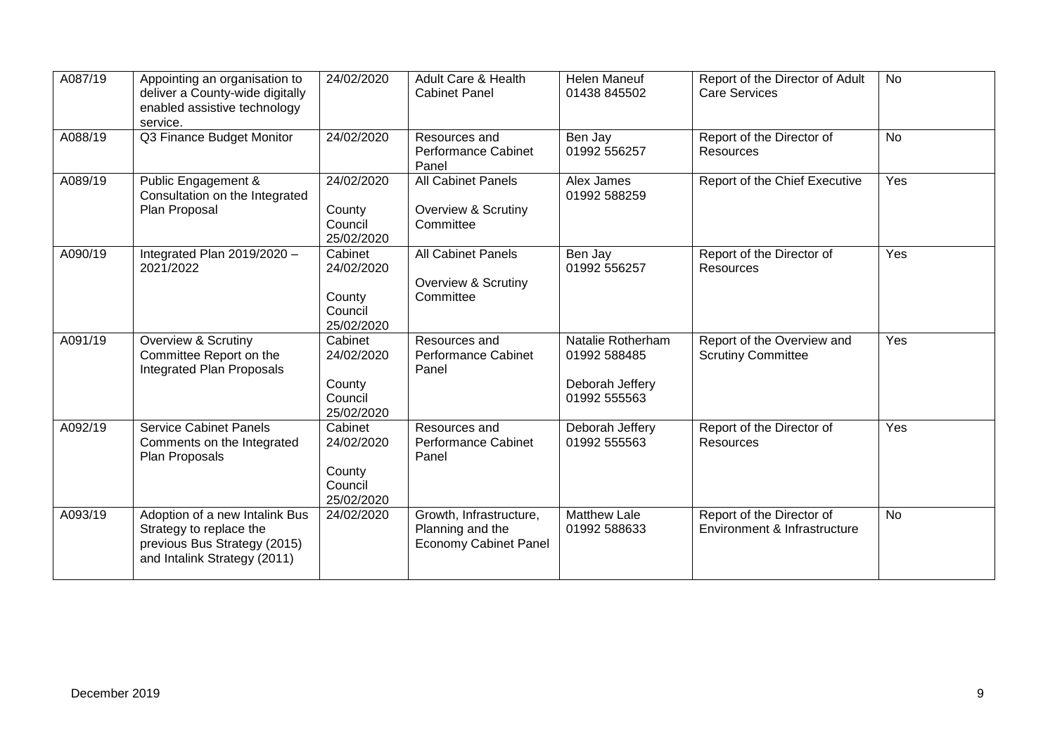| A087/19 | Appointing an organisation to<br>deliver a County-wide digitally<br>enabled assistive technology<br>service.              | 24/02/2020                                               | Adult Care & Health<br><b>Cabinet Panel</b>                                 | <b>Helen Maneuf</b><br>01438 845502                                  | Report of the Director of Adult<br><b>Care Services</b>   | No        |
|---------|---------------------------------------------------------------------------------------------------------------------------|----------------------------------------------------------|-----------------------------------------------------------------------------|----------------------------------------------------------------------|-----------------------------------------------------------|-----------|
| A088/19 | Q3 Finance Budget Monitor                                                                                                 | 24/02/2020                                               | Resources and<br><b>Performance Cabinet</b><br>Panel                        | Ben Jay<br>01992 556257                                              | Report of the Director of<br>Resources                    | <b>No</b> |
| A089/19 | Public Engagement &<br>Consultation on the Integrated<br>Plan Proposal                                                    | 24/02/2020<br>County<br>Council<br>25/02/2020            | <b>All Cabinet Panels</b><br>Overview & Scrutiny<br>Committee               | Alex James<br>01992 588259                                           | Report of the Chief Executive                             | Yes       |
| A090/19 | Integrated Plan 2019/2020 -<br>2021/2022                                                                                  | Cabinet<br>24/02/2020<br>County<br>Council<br>25/02/2020 | <b>All Cabinet Panels</b><br><b>Overview &amp; Scrutiny</b><br>Committee    | Ben Jay<br>01992 556257                                              | Report of the Director of<br><b>Resources</b>             | Yes       |
| A091/19 | <b>Overview &amp; Scrutiny</b><br>Committee Report on the<br>Integrated Plan Proposals                                    | Cabinet<br>24/02/2020<br>County<br>Council<br>25/02/2020 | Resources and<br><b>Performance Cabinet</b><br>Panel                        | Natalie Rotherham<br>01992 588485<br>Deborah Jeffery<br>01992 555563 | Report of the Overview and<br><b>Scrutiny Committee</b>   | Yes       |
| A092/19 | <b>Service Cabinet Panels</b><br>Comments on the Integrated<br>Plan Proposals                                             | Cabinet<br>24/02/2020<br>County<br>Council<br>25/02/2020 | Resources and<br><b>Performance Cabinet</b><br>Panel                        | Deborah Jeffery<br>01992 555563                                      | Report of the Director of<br>Resources                    | Yes       |
| A093/19 | Adoption of a new Intalink Bus<br>Strategy to replace the<br>previous Bus Strategy (2015)<br>and Intalink Strategy (2011) | 24/02/2020                                               | Growth, Infrastructure,<br>Planning and the<br><b>Economy Cabinet Panel</b> | <b>Matthew Lale</b><br>01992 588633                                  | Report of the Director of<br>Environment & Infrastructure | <b>No</b> |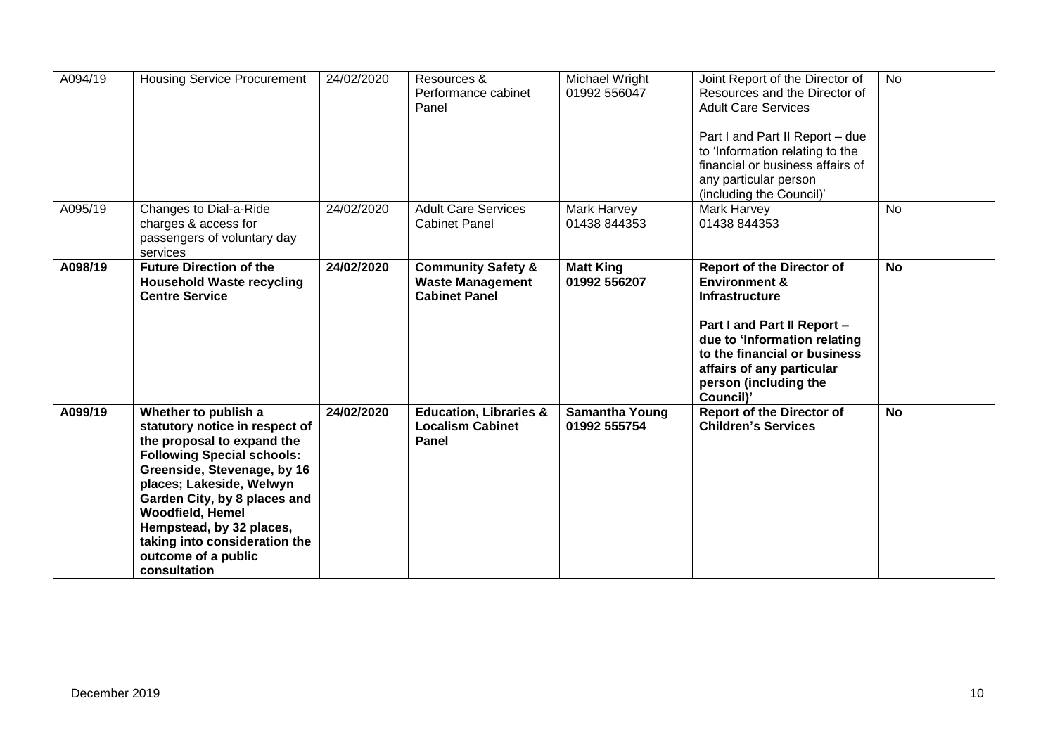| A094/19 | <b>Housing Service Procurement</b>                                                                                                                                                                                                                                                                                                                  | 24/02/2020 | Resources &<br>Performance cabinet<br>Panel                                      | Michael Wright<br>01992 556047        | Joint Report of the Director of<br>Resources and the Director of<br><b>Adult Care Services</b><br>Part I and Part II Report - due<br>to 'Information relating to the<br>financial or business affairs of<br>any particular person<br>(including the Council)' | <b>No</b> |
|---------|-----------------------------------------------------------------------------------------------------------------------------------------------------------------------------------------------------------------------------------------------------------------------------------------------------------------------------------------------------|------------|----------------------------------------------------------------------------------|---------------------------------------|---------------------------------------------------------------------------------------------------------------------------------------------------------------------------------------------------------------------------------------------------------------|-----------|
| A095/19 | Changes to Dial-a-Ride<br>charges & access for<br>passengers of voluntary day<br>services                                                                                                                                                                                                                                                           | 24/02/2020 | <b>Adult Care Services</b><br><b>Cabinet Panel</b>                               | Mark Harvey<br>01438 844353           | Mark Harvey<br>01438 844353                                                                                                                                                                                                                                   | <b>No</b> |
| A098/19 | <b>Future Direction of the</b><br><b>Household Waste recycling</b><br><b>Centre Service</b>                                                                                                                                                                                                                                                         | 24/02/2020 | <b>Community Safety &amp;</b><br><b>Waste Management</b><br><b>Cabinet Panel</b> | <b>Matt King</b><br>01992 556207      | <b>Report of the Director of</b><br><b>Environment &amp;</b><br><b>Infrastructure</b><br>Part I and Part II Report -<br>due to 'Information relating<br>to the financial or business<br>affairs of any particular<br>person (including the<br>Council)'       | <b>No</b> |
| A099/19 | Whether to publish a<br>statutory notice in respect of<br>the proposal to expand the<br><b>Following Special schools:</b><br>Greenside, Stevenage, by 16<br>places; Lakeside, Welwyn<br>Garden City, by 8 places and<br><b>Woodfield, Hemel</b><br>Hempstead, by 32 places,<br>taking into consideration the<br>outcome of a public<br>consultation | 24/02/2020 | <b>Education, Libraries &amp;</b><br><b>Localism Cabinet</b><br><b>Panel</b>     | <b>Samantha Young</b><br>01992 555754 | <b>Report of the Director of</b><br><b>Children's Services</b>                                                                                                                                                                                                | <b>No</b> |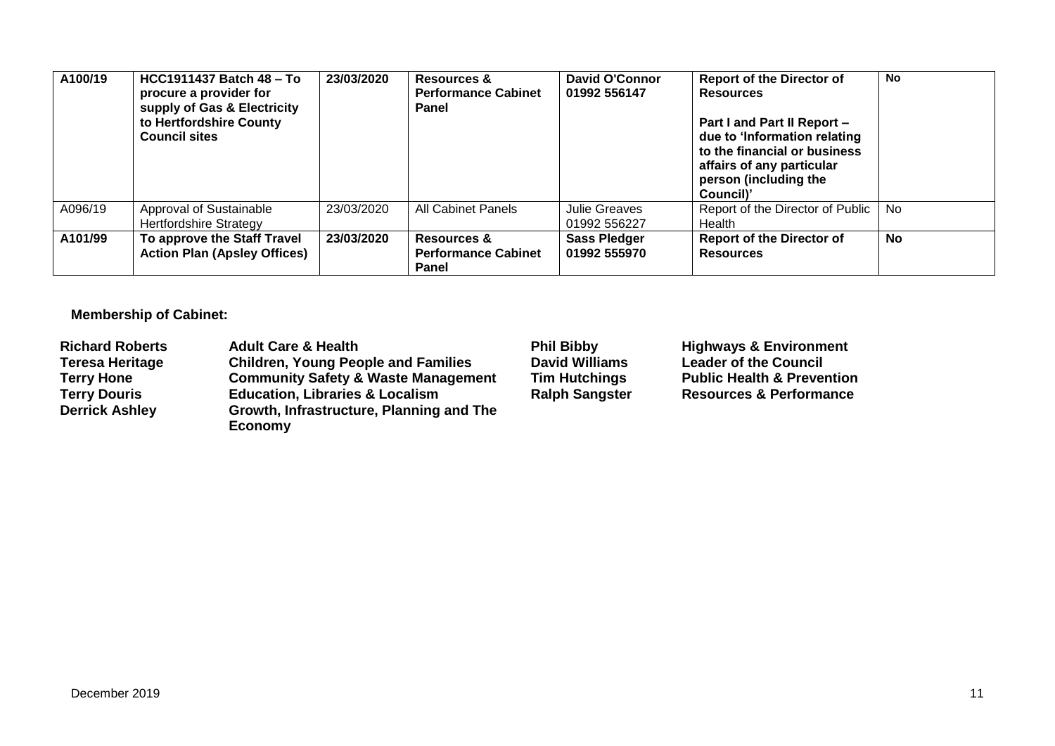| A100/19 | <b>HCC1911437 Batch 48 - To</b><br>procure a provider for<br>supply of Gas & Electricity<br>to Hertfordshire County<br><b>Council sites</b> | 23/03/2020 | Resources &<br><b>Performance Cabinet</b><br>Panel | David O'Connor<br>01992 556147      | <b>Report of the Director of</b><br><b>Resources</b><br>Part I and Part II Report -<br>due to 'Information relating<br>to the financial or business<br>affairs of any particular<br>person (including the<br>Council)' | <b>No</b> |
|---------|---------------------------------------------------------------------------------------------------------------------------------------------|------------|----------------------------------------------------|-------------------------------------|------------------------------------------------------------------------------------------------------------------------------------------------------------------------------------------------------------------------|-----------|
| A096/19 | Approval of Sustainable<br><b>Hertfordshire Strategy</b>                                                                                    | 23/03/2020 | <b>All Cabinet Panels</b>                          | Julie Greaves<br>01992 556227       | Report of the Director of Public<br>Health                                                                                                                                                                             | <b>No</b> |
| A101/99 | To approve the Staff Travel<br><b>Action Plan (Apsley Offices)</b>                                                                          | 23/03/2020 | Resources &<br><b>Performance Cabinet</b><br>Panel | <b>Sass Pledger</b><br>01992 555970 | <b>Report of the Director of</b><br><b>Resources</b>                                                                                                                                                                   | <b>No</b> |

**Membership of Cabinet:** 

| <b>Richard Roberts</b> | <b>Adult Care &amp; Health</b>                 | <b>Phil Bibby</b>     | <b>Highways &amp; Environment</b>     |
|------------------------|------------------------------------------------|-----------------------|---------------------------------------|
| <b>Teresa Heritage</b> | <b>Children, Young People and Families</b>     | <b>David Williams</b> | <b>Leader of the Council</b>          |
| <b>Terry Hone</b>      | <b>Community Safety &amp; Waste Management</b> | <b>Tim Hutchings</b>  | <b>Public Health &amp; Prevention</b> |
| <b>Terry Douris</b>    | <b>Education, Libraries &amp; Localism</b>     | <b>Ralph Sangster</b> | <b>Resources &amp; Performance</b>    |
| <b>Derrick Ashley</b>  | Growth, Infrastructure, Planning and The       |                       |                                       |
|                        | Economy                                        |                       |                                       |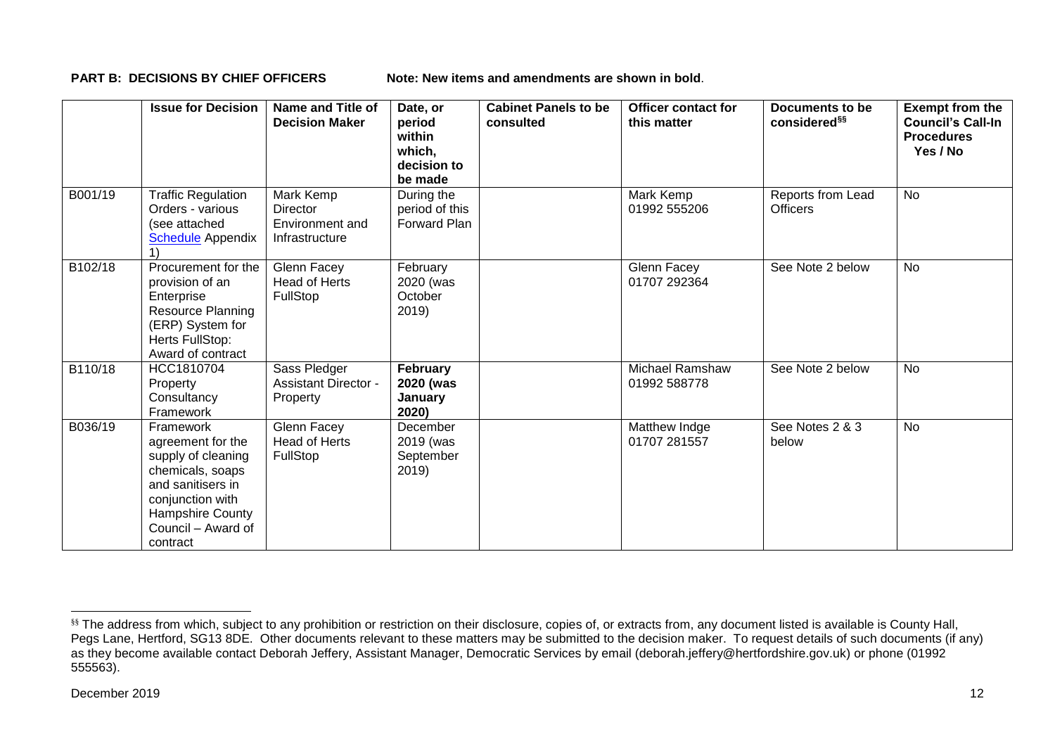**PART B: DECISIONS BY CHIEF OFFICERS** Note: New items and amendments are shown in bold.

|         | <b>Issue for Decision</b>                                                                                                                                               | Name and Title of<br><b>Decision Maker</b>                        | Date, or<br>period<br>within<br>which,<br>decision to<br>be made | <b>Cabinet Panels to be</b><br>consulted | Officer contact for<br>this matter | Documents to be<br>considered <sup>§§</sup> | <b>Exempt from the</b><br><b>Council's Call-In</b><br><b>Procedures</b><br>Yes / No |
|---------|-------------------------------------------------------------------------------------------------------------------------------------------------------------------------|-------------------------------------------------------------------|------------------------------------------------------------------|------------------------------------------|------------------------------------|---------------------------------------------|-------------------------------------------------------------------------------------|
| B001/19 | <b>Traffic Regulation</b><br>Orders - various<br>(see attached<br><b>Schedule</b> Appendix                                                                              | Mark Kemp<br><b>Director</b><br>Environment and<br>Infrastructure | During the<br>period of this<br><b>Forward Plan</b>              |                                          | Mark Kemp<br>01992 555206          | Reports from Lead<br><b>Officers</b>        | <b>No</b>                                                                           |
| B102/18 | Procurement for the<br>provision of an<br>Enterprise<br><b>Resource Planning</b><br>(ERP) System for<br>Herts FullStop:<br>Award of contract                            | Glenn Facey<br><b>Head of Herts</b><br><b>FullStop</b>            | February<br>2020 (was<br>October<br>2019)                        |                                          | Glenn Facey<br>01707 292364        | See Note 2 below                            | <b>No</b>                                                                           |
| B110/18 | HCC1810704<br>Property<br>Consultancy<br>Framework                                                                                                                      | Sass Pledger<br><b>Assistant Director -</b><br>Property           | February<br>2020 (was<br>January<br>2020)                        |                                          | Michael Ramshaw<br>01992 588778    | See Note 2 below                            | <b>No</b>                                                                           |
| B036/19 | Framework<br>agreement for the<br>supply of cleaning<br>chemicals, soaps<br>and sanitisers in<br>conjunction with<br>Hampshire County<br>Council - Award of<br>contract | Glenn Facey<br><b>Head of Herts</b><br><b>FullStop</b>            | December<br>2019 (was<br>September<br>2019)                      |                                          | Matthew Indge<br>01707 281557      | See Notes 2 & 3<br>below                    | <b>No</b>                                                                           |

1

<sup>&</sup>lt;sup>§§</sup> The address from which, subject to any prohibition or restriction on their disclosure, copies of, or extracts from, any document listed is available is County Hall, Pegs Lane, Hertford, SG13 8DE. Other documents relevant to these matters may be submitted to the decision maker. To request details of such documents (if any) as they become available contact Deborah Jeffery, Assistant Manager, Democratic Services by email (deborah.jeffery@hertfordshire.gov.uk) or phone (01992 555563).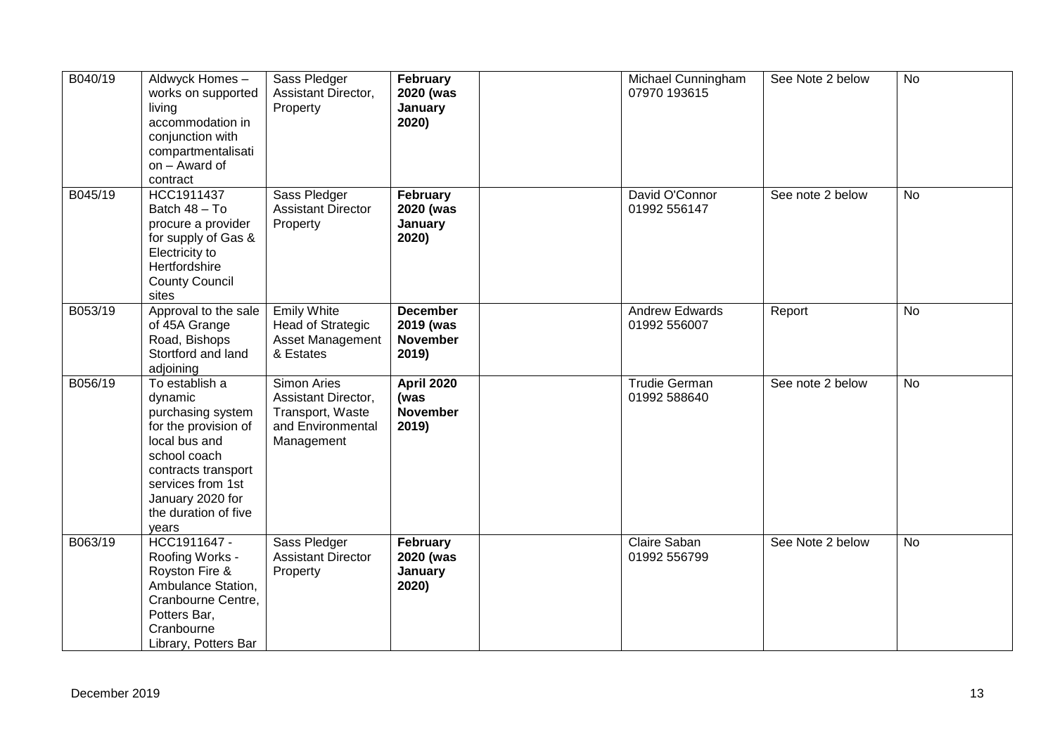| B040/19 | Aldwyck Homes-<br>works on supported<br>living<br>accommodation in<br>conjunction with<br>compartmentalisati<br>on - Award of<br>contract                                                                | Sass Pledger<br>Assistant Director,<br>Property                                           | February<br>2020 (was<br>January<br>2020)                | Michael Cunningham<br>07970 193615    | See Note 2 below | <b>No</b> |
|---------|----------------------------------------------------------------------------------------------------------------------------------------------------------------------------------------------------------|-------------------------------------------------------------------------------------------|----------------------------------------------------------|---------------------------------------|------------------|-----------|
| B045/19 | HCC1911437<br>Batch 48 - To<br>procure a provider<br>for supply of Gas &<br>Electricity to<br>Hertfordshire<br><b>County Council</b><br>sites                                                            | Sass Pledger<br><b>Assistant Director</b><br>Property                                     | February<br>2020 (was<br>January<br>2020)                | David O'Connor<br>01992 556147        | See note 2 below | <b>No</b> |
| B053/19 | Approval to the sale<br>of 45A Grange<br>Road, Bishops<br>Stortford and land<br>adjoining                                                                                                                | <b>Emily White</b><br><b>Head of Strategic</b><br>Asset Management<br>& Estates           | <b>December</b><br>2019 (was<br><b>November</b><br>2019) | <b>Andrew Edwards</b><br>01992 556007 | Report           | <b>No</b> |
| B056/19 | To establish a<br>dynamic<br>purchasing system<br>for the provision of<br>local bus and<br>school coach<br>contracts transport<br>services from 1st<br>January 2020 for<br>the duration of five<br>years | Simon Aries<br>Assistant Director,<br>Transport, Waste<br>and Environmental<br>Management | <b>April 2020</b><br>(was<br><b>November</b><br>2019)    | <b>Trudie German</b><br>01992 588640  | See note 2 below | <b>No</b> |
| B063/19 | HCC1911647 -<br>Roofing Works -<br>Royston Fire &<br>Ambulance Station,<br>Cranbourne Centre,<br>Potters Bar,<br>Cranbourne<br>Library, Potters Bar                                                      | Sass Pledger<br><b>Assistant Director</b><br>Property                                     | February<br>2020 (was<br>January<br>2020)                | Claire Saban<br>01992 556799          | See Note 2 below | <b>No</b> |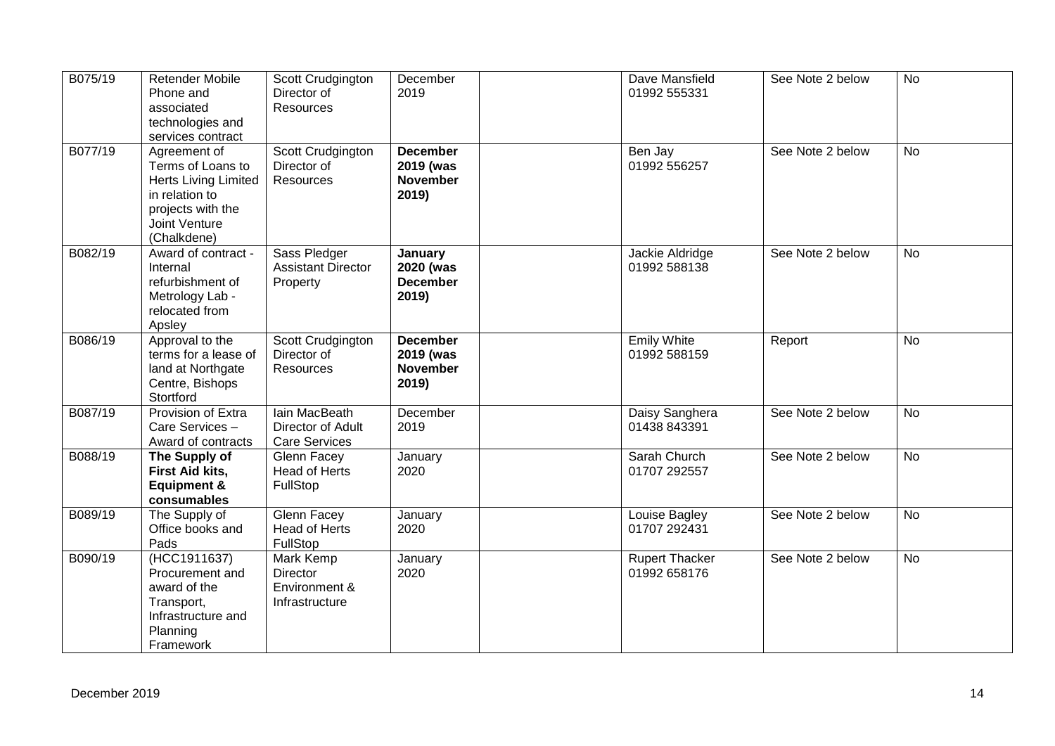| B075/19 | <b>Retender Mobile</b><br>Phone and<br>associated<br>technologies and<br>services contract                                              | Scott Crudgington<br>Director of<br>Resources                     | December<br>2019                                         | Dave Mansfield<br>01992 555331        | See Note 2 below | <b>No</b> |
|---------|-----------------------------------------------------------------------------------------------------------------------------------------|-------------------------------------------------------------------|----------------------------------------------------------|---------------------------------------|------------------|-----------|
| B077/19 | Agreement of<br>Terms of Loans to<br><b>Herts Living Limited</b><br>in relation to<br>projects with the<br>Joint Venture<br>(Chalkdene) | Scott Crudgington<br>Director of<br>Resources                     | <b>December</b><br>2019 (was<br><b>November</b><br>2019) | Ben Jay<br>01992 556257               | See Note 2 below | <b>No</b> |
| B082/19 | Award of contract -<br>Internal<br>refurbishment of<br>Metrology Lab -<br>relocated from<br>Apsley                                      | Sass Pledger<br><b>Assistant Director</b><br>Property             | January<br>2020 (was<br><b>December</b><br>2019)         | Jackie Aldridge<br>01992 588138       | See Note 2 below | <b>No</b> |
| B086/19 | Approval to the<br>terms for a lease of<br>land at Northgate<br>Centre, Bishops<br>Stortford                                            | Scott Crudgington<br>Director of<br>Resources                     | <b>December</b><br>2019 (was<br><b>November</b><br>2019) | <b>Emily White</b><br>01992 588159    | Report           | <b>No</b> |
| B087/19 | Provision of Extra<br>Care Services-<br>Award of contracts                                                                              | <b>lain MacBeath</b><br>Director of Adult<br><b>Care Services</b> | December<br>2019                                         | Daisy Sanghera<br>01438 843391        | See Note 2 below | <b>No</b> |
| B088/19 | The Supply of<br>First Aid kits,<br><b>Equipment &amp;</b><br>consumables                                                               | Glenn Facey<br><b>Head of Herts</b><br>FullStop                   | January<br>2020                                          | Sarah Church<br>01707 292557          | See Note 2 below | <b>No</b> |
| B089/19 | The Supply of<br>Office books and<br>Pads                                                                                               | Glenn Facey<br><b>Head of Herts</b><br>FullStop                   | January<br>2020                                          | Louise Bagley<br>01707 292431         | See Note 2 below | <b>No</b> |
| B090/19 | (HCC1911637)<br>Procurement and<br>award of the<br>Transport,<br>Infrastructure and<br>Planning<br>Framework                            | Mark Kemp<br><b>Director</b><br>Environment &<br>Infrastructure   | January<br>2020                                          | <b>Rupert Thacker</b><br>01992 658176 | See Note 2 below | <b>No</b> |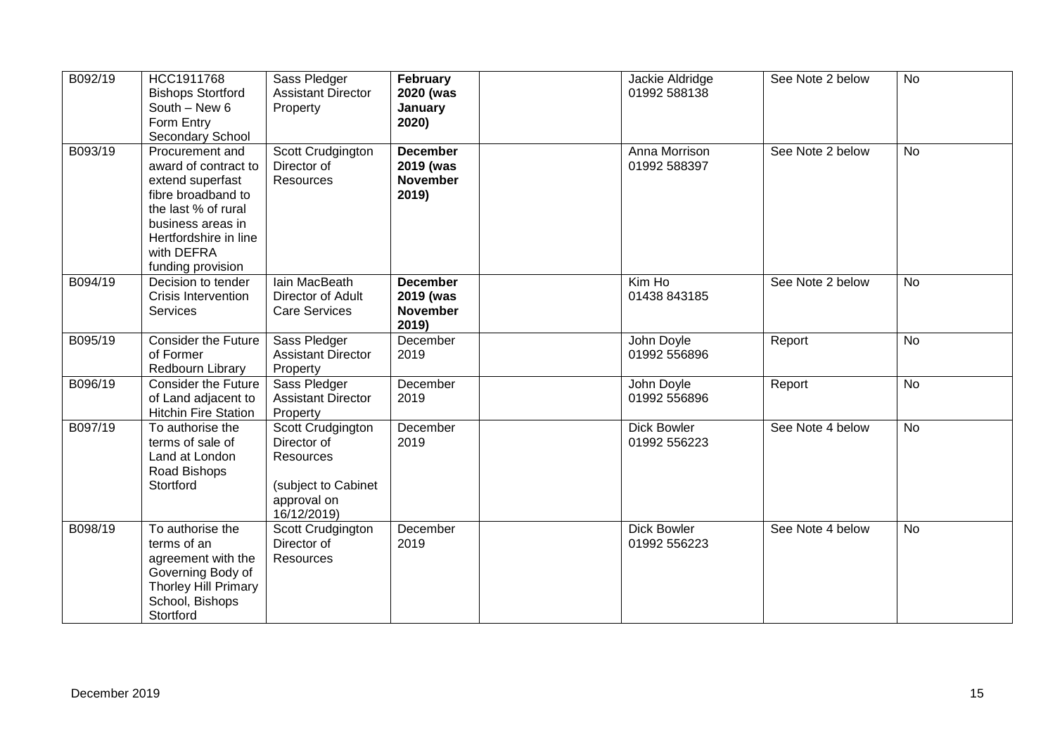| B092/19 | HCC1911768<br><b>Bishops Stortford</b><br>South - New 6<br>Form Entry<br>Secondary School                                                                                                 | Sass Pledger<br><b>Assistant Director</b><br>Property                                              | February<br>2020 (was<br>January<br>2020)                | Jackie Aldridge<br>01992 588138    | See Note 2 below | <b>No</b> |
|---------|-------------------------------------------------------------------------------------------------------------------------------------------------------------------------------------------|----------------------------------------------------------------------------------------------------|----------------------------------------------------------|------------------------------------|------------------|-----------|
| B093/19 | Procurement and<br>award of contract to<br>extend superfast<br>fibre broadband to<br>the last % of rural<br>business areas in<br>Hertfordshire in line<br>with DEFRA<br>funding provision | Scott Crudgington<br>Director of<br>Resources                                                      | <b>December</b><br>2019 (was<br><b>November</b><br>2019) | Anna Morrison<br>01992 588397      | See Note 2 below | <b>No</b> |
| B094/19 | Decision to tender<br>Crisis Intervention<br><b>Services</b>                                                                                                                              | <b>lain MacBeath</b><br>Director of Adult<br><b>Care Services</b>                                  | <b>December</b><br>2019 (was<br><b>November</b><br>2019) | Kim Ho<br>01438 843185             | See Note 2 below | <b>No</b> |
| B095/19 | <b>Consider the Future</b><br>of Former<br>Redbourn Library                                                                                                                               | Sass Pledger<br><b>Assistant Director</b><br>Property                                              | December<br>2019                                         | John Doyle<br>01992 556896         | Report           | <b>No</b> |
| B096/19 | <b>Consider the Future</b><br>of Land adjacent to<br><b>Hitchin Fire Station</b>                                                                                                          | Sass Pledger<br><b>Assistant Director</b><br>Property                                              | December<br>2019                                         | John Doyle<br>01992 556896         | Report           | <b>No</b> |
| B097/19 | To authorise the<br>terms of sale of<br>Land at London<br>Road Bishops<br>Stortford                                                                                                       | Scott Crudgington<br>Director of<br>Resources<br>(subject to Cabinet<br>approval on<br>16/12/2019) | December<br>2019                                         | <b>Dick Bowler</b><br>01992 556223 | See Note 4 below | <b>No</b> |
| B098/19 | To authorise the<br>terms of an<br>agreement with the<br>Governing Body of<br>Thorley Hill Primary<br>School, Bishops<br>Stortford                                                        | Scott Crudgington<br>Director of<br>Resources                                                      | December<br>2019                                         | <b>Dick Bowler</b><br>01992 556223 | See Note 4 below | <b>No</b> |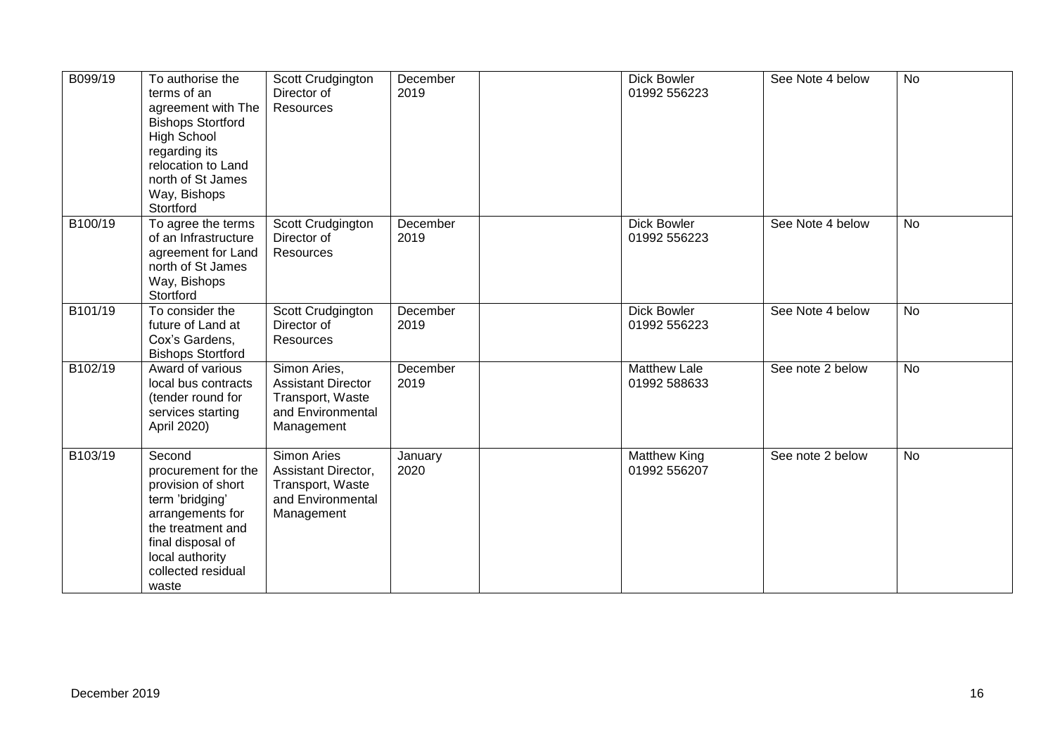| B099/19 | To authorise the<br>terms of an<br>agreement with The<br><b>Bishops Stortford</b><br><b>High School</b><br>regarding its<br>relocation to Land<br>north of St James<br>Way, Bishops<br>Stortford | Scott Crudgington<br>Director of<br>Resources                                                    | December<br>2019 | <b>Dick Bowler</b><br>01992 556223  | See Note 4 below | <b>No</b> |
|---------|--------------------------------------------------------------------------------------------------------------------------------------------------------------------------------------------------|--------------------------------------------------------------------------------------------------|------------------|-------------------------------------|------------------|-----------|
| B100/19 | To agree the terms<br>of an Infrastructure<br>agreement for Land<br>north of St James<br>Way, Bishops<br>Stortford                                                                               | Scott Crudgington<br>Director of<br>Resources                                                    | December<br>2019 | <b>Dick Bowler</b><br>01992 556223  | See Note 4 below | <b>No</b> |
| B101/19 | To consider the<br>future of Land at<br>Cox's Gardens,<br><b>Bishops Stortford</b>                                                                                                               | Scott Crudgington<br>Director of<br>Resources                                                    | December<br>2019 | <b>Dick Bowler</b><br>01992 556223  | See Note 4 below | <b>No</b> |
| B102/19 | Award of various<br>local bus contracts<br>(tender round for<br>services starting<br>April 2020)                                                                                                 | Simon Aries,<br><b>Assistant Director</b><br>Transport, Waste<br>and Environmental<br>Management | December<br>2019 | <b>Matthew Lale</b><br>01992 588633 | See note 2 below | <b>No</b> |
| B103/19 | Second<br>procurement for the<br>provision of short<br>term 'bridging'<br>arrangements for<br>the treatment and<br>final disposal of<br>local authority<br>collected residual<br>waste           | Simon Aries<br>Assistant Director,<br>Transport, Waste<br>and Environmental<br>Management        | January<br>2020  | <b>Matthew King</b><br>01992 556207 | See note 2 below | <b>No</b> |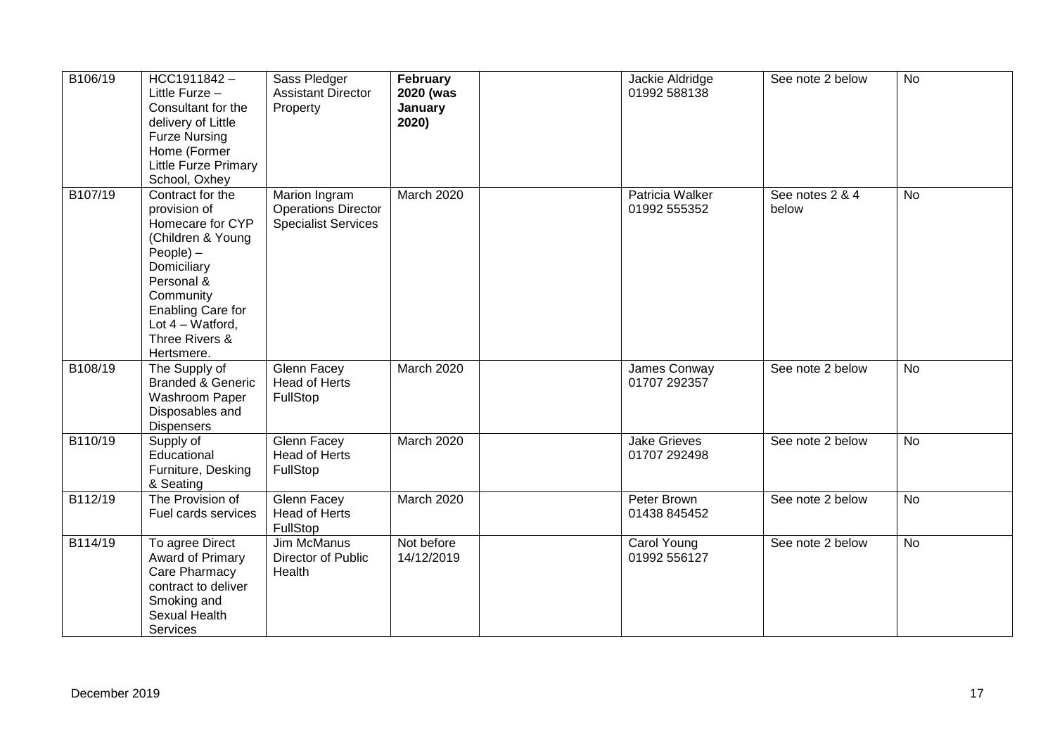| B106/19 | HCC1911842-<br>Little Furze -<br>Consultant for the<br>delivery of Little<br><b>Furze Nursing</b><br>Home (Former<br>Little Furze Primary<br>School, Oxhey                                                   | Sass Pledger<br><b>Assistant Director</b><br>Property                     | February<br>2020 (was<br>January<br>2020) | Jackie Aldridge<br>01992 588138     | See note 2 below         | <b>No</b> |
|---------|--------------------------------------------------------------------------------------------------------------------------------------------------------------------------------------------------------------|---------------------------------------------------------------------------|-------------------------------------------|-------------------------------------|--------------------------|-----------|
| B107/19 | Contract for the<br>provision of<br>Homecare for CYP<br>(Children & Young<br>People) -<br>Domiciliary<br>Personal &<br>Community<br>Enabling Care for<br>Lot $4 - W$ atford,<br>Three Rivers &<br>Hertsmere. | Marion Ingram<br><b>Operations Director</b><br><b>Specialist Services</b> | March 2020                                | Patricia Walker<br>01992 555352     | See notes 2 & 4<br>below | <b>No</b> |
| B108/19 | The Supply of<br><b>Branded &amp; Generic</b><br>Washroom Paper<br>Disposables and<br><b>Dispensers</b>                                                                                                      | <b>Glenn Facey</b><br><b>Head of Herts</b><br>FullStop                    | <b>March 2020</b>                         | James Conway<br>01707 292357        | See note 2 below         | <b>No</b> |
| B110/19 | Supply of<br>Educational<br>Furniture, Desking<br>& Seating                                                                                                                                                  | Glenn Facey<br><b>Head of Herts</b><br>FullStop                           | <b>March 2020</b>                         | <b>Jake Grieves</b><br>01707 292498 | See note 2 below         | <b>No</b> |
| B112/19 | The Provision of<br>Fuel cards services                                                                                                                                                                      | Glenn Facey<br>Head of Herts<br>FullStop                                  | March 2020                                | Peter Brown<br>01438 845452         | See note 2 below         | <b>No</b> |
| B114/19 | To agree Direct<br>Award of Primary<br>Care Pharmacy<br>contract to deliver<br>Smoking and<br>Sexual Health<br>Services                                                                                      | Jim McManus<br>Director of Public<br>Health                               | Not before<br>14/12/2019                  | Carol Young<br>01992 556127         | See note 2 below         | <b>No</b> |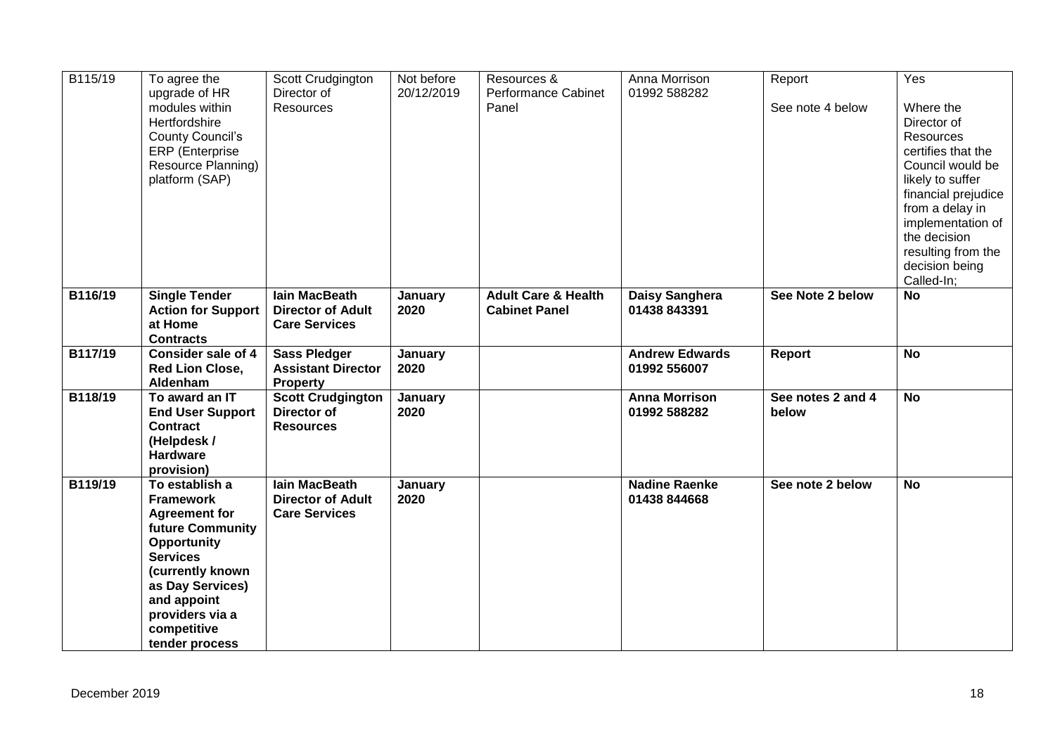| B115/19 | To agree the<br>upgrade of HR                                                                                                                                                                                                      | Scott Crudgington<br>Director of                                         | Not before<br>20/12/2019 | Resources &<br>Performance Cabinet                     | Anna Morrison<br>01992 588282         | Report                     | Yes                                                                                                                                                                                                                                             |
|---------|------------------------------------------------------------------------------------------------------------------------------------------------------------------------------------------------------------------------------------|--------------------------------------------------------------------------|--------------------------|--------------------------------------------------------|---------------------------------------|----------------------------|-------------------------------------------------------------------------------------------------------------------------------------------------------------------------------------------------------------------------------------------------|
|         | modules within<br>Hertfordshire<br><b>County Council's</b><br><b>ERP</b> (Enterprise<br>Resource Planning)<br>platform (SAP)                                                                                                       | Resources                                                                |                          | Panel                                                  |                                       | See note 4 below           | Where the<br>Director of<br><b>Resources</b><br>certifies that the<br>Council would be<br>likely to suffer<br>financial prejudice<br>from a delay in<br>implementation of<br>the decision<br>resulting from the<br>decision being<br>Called-In; |
| B116/19 | <b>Single Tender</b><br><b>Action for Support</b><br>at Home<br><b>Contracts</b>                                                                                                                                                   | <b>lain MacBeath</b><br><b>Director of Adult</b><br><b>Care Services</b> | <b>January</b><br>2020   | <b>Adult Care &amp; Health</b><br><b>Cabinet Panel</b> | Daisy Sanghera<br>01438 843391        | See Note 2 below           | <b>No</b>                                                                                                                                                                                                                                       |
| B117/19 | <b>Consider sale of 4</b><br><b>Red Lion Close,</b><br>Aldenham                                                                                                                                                                    | <b>Sass Pledger</b><br><b>Assistant Director</b><br><b>Property</b>      | January<br>2020          |                                                        | <b>Andrew Edwards</b><br>01992 556007 | <b>Report</b>              | <b>No</b>                                                                                                                                                                                                                                       |
| B118/19 | To award an IT<br><b>End User Support</b><br><b>Contract</b><br>(Helpdesk /<br><b>Hardware</b><br>provision)                                                                                                                       | <b>Scott Crudgington</b><br>Director of<br><b>Resources</b>              | <b>January</b><br>2020   |                                                        | <b>Anna Morrison</b><br>01992 588282  | See notes 2 and 4<br>below | <b>No</b>                                                                                                                                                                                                                                       |
| B119/19 | To establish a<br><b>Framework</b><br><b>Agreement for</b><br><b>future Community</b><br>Opportunity<br><b>Services</b><br>(currently known<br>as Day Services)<br>and appoint<br>providers via a<br>competitive<br>tender process | <b>lain MacBeath</b><br><b>Director of Adult</b><br><b>Care Services</b> | January<br>2020          |                                                        | <b>Nadine Raenke</b><br>01438 844668  | See note 2 below           | <b>No</b>                                                                                                                                                                                                                                       |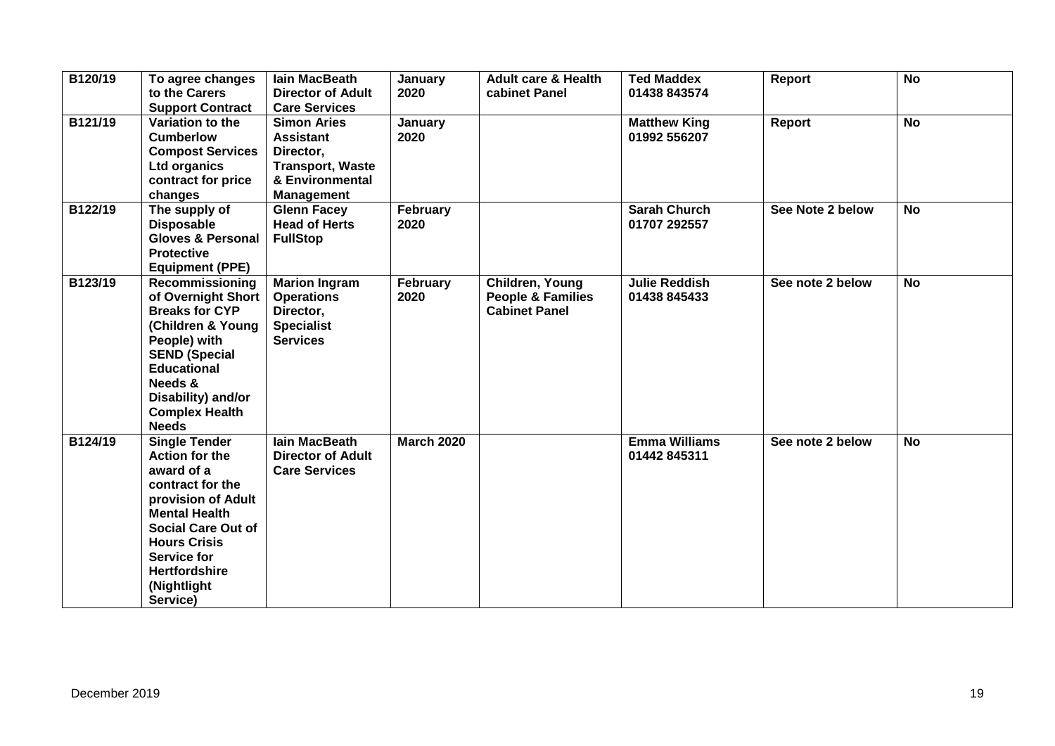| B120/19 | To agree changes<br>to the Carers<br><b>Support Contract</b>                                                                                                                                                                                               | lain MacBeath<br><b>Director of Adult</b><br><b>Care Services</b>                                                      | January<br>2020   | <b>Adult care &amp; Health</b><br>cabinet Panel                         | <b>Ted Maddex</b><br>01438 843574    | Report           | $\overline{N}$ |  |
|---------|------------------------------------------------------------------------------------------------------------------------------------------------------------------------------------------------------------------------------------------------------------|------------------------------------------------------------------------------------------------------------------------|-------------------|-------------------------------------------------------------------------|--------------------------------------|------------------|----------------|--|
| B121/19 | Variation to the<br><b>Cumberlow</b><br><b>Compost Services</b><br><b>Ltd organics</b><br>contract for price<br>changes                                                                                                                                    | <b>Simon Aries</b><br><b>Assistant</b><br>Director,<br><b>Transport, Waste</b><br>& Environmental<br><b>Management</b> | January<br>2020   |                                                                         | <b>Matthew King</b><br>01992 556207  | Report           | <b>No</b>      |  |
| B122/19 | The supply of<br><b>Disposable</b><br><b>Gloves &amp; Personal</b><br><b>Protective</b><br><b>Equipment (PPE)</b>                                                                                                                                          | <b>Glenn Facey</b><br><b>Head of Herts</b><br><b>FullStop</b>                                                          | February<br>2020  |                                                                         | <b>Sarah Church</b><br>01707 292557  | See Note 2 below | <b>No</b>      |  |
| B123/19 | Recommissioning<br>of Overnight Short<br><b>Breaks for CYP</b><br>(Children & Young<br>People) with<br><b>SEND (Special</b><br><b>Educational</b><br>Needs &<br>Disability) and/or<br><b>Complex Health</b><br><b>Needs</b>                                | <b>Marion Ingram</b><br><b>Operations</b><br>Director,<br><b>Specialist</b><br><b>Services</b>                         | February<br>2020  | Children, Young<br><b>People &amp; Families</b><br><b>Cabinet Panel</b> | <b>Julie Reddish</b><br>01438 845433 | See note 2 below | <b>No</b>      |  |
| B124/19 | <b>Single Tender</b><br><b>Action for the</b><br>award of a<br>contract for the<br>provision of Adult<br><b>Mental Health</b><br><b>Social Care Out of</b><br><b>Hours Crisis</b><br><b>Service for</b><br><b>Hertfordshire</b><br>(Nightlight<br>Service) | <b>lain MacBeath</b><br><b>Director of Adult</b><br><b>Care Services</b>                                               | <b>March 2020</b> |                                                                         | <b>Emma Williams</b><br>01442 845311 | See note 2 below | <b>No</b>      |  |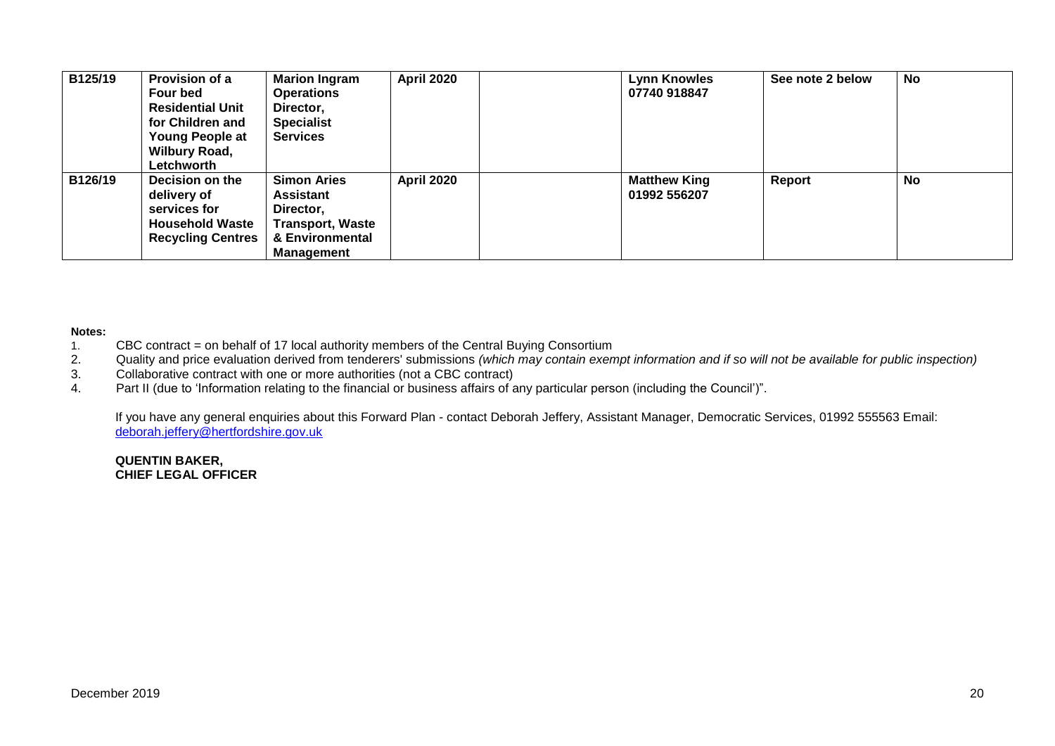| B125/19 | Provision of a<br>Four bed<br><b>Residential Unit</b><br>for Children and<br><b>Young People at</b><br><b>Wilbury Road,</b><br>Letchworth | <b>Marion Ingram</b><br><b>Operations</b><br>Director,<br><b>Specialist</b><br><b>Services</b>                         | <b>April 2020</b> | <b>Lynn Knowles</b><br>07740 918847 | See note 2 below | No |
|---------|-------------------------------------------------------------------------------------------------------------------------------------------|------------------------------------------------------------------------------------------------------------------------|-------------------|-------------------------------------|------------------|----|
| B126/19 | Decision on the<br>delivery of<br>services for<br><b>Household Waste</b><br><b>Recycling Centres</b>                                      | <b>Simon Aries</b><br><b>Assistant</b><br>Director,<br><b>Transport, Waste</b><br>& Environmental<br><b>Management</b> | <b>April 2020</b> | <b>Matthew King</b><br>01992 556207 | Report           | No |

#### **Notes:**

- 1. CBC contract = on behalf of 17 local authority members of the Central Buying Consortium<br>2. Quality and price evaluation derived from tenderers' submissions (which may contain exen
- 2. Quality and price evaluation derived from tenderers' submissions *(which may contain exempt information and if so will not be available for public inspection)*
- 3. Collaborative contract with one or more authorities (not a CBC contract)<br>4. Part II (due to 'Information relating to the financial or business affairs of a
- Part II (due to 'Information relating to the financial or business affairs of any particular person (including the Council')".

If you have any general enquiries about this Forward Plan - contact Deborah Jeffery, Assistant Manager, Democratic Services, 01992 555563 Email: [deborah.jeffery@hertfordshire.gov.uk](mailto:deborah.jeffery@hertfordshire.gov.uk) 

**QUENTIN BAKER, CHIEF LEGAL OFFICER**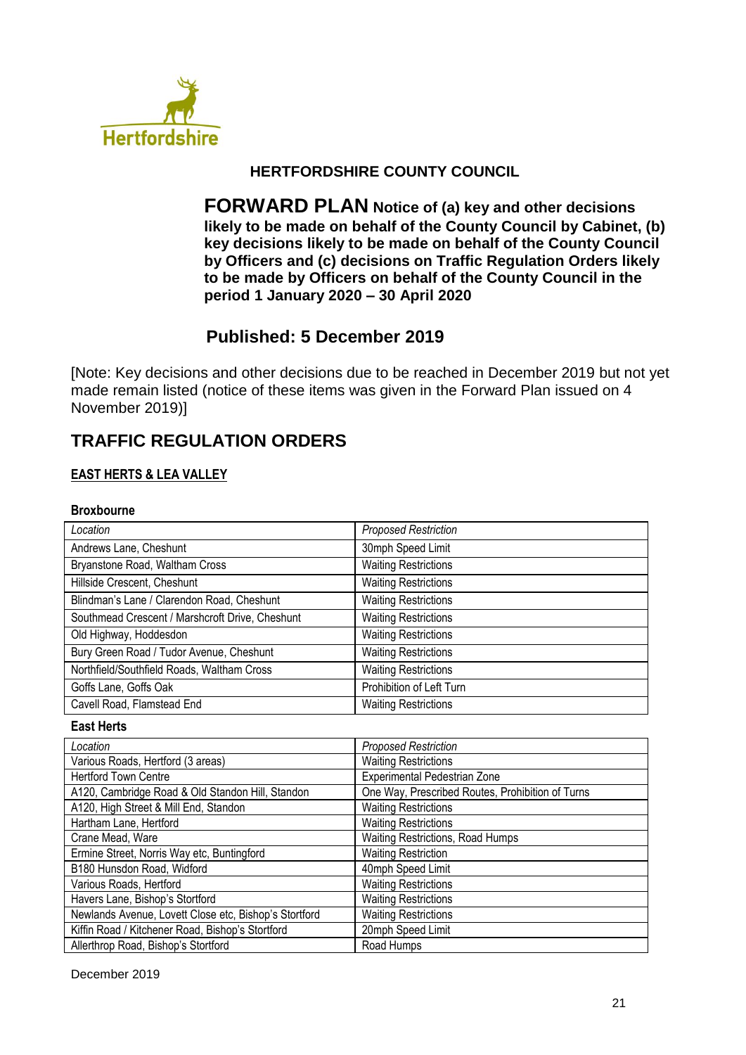

## **HERTFORDSHIRE COUNTY COUNCIL**

**FORWARD PLAN Notice of (a) key and other decisions likely to be made on behalf of the County Council by Cabinet, (b) key decisions likely to be made on behalf of the County Council by Officers and (c) decisions on Traffic Regulation Orders likely to be made by Officers on behalf of the County Council in the period 1 January 2020 – 30 April 2020**

## **Published: 5 December 2019**

[Note: Key decisions and other decisions due to be reached in December 2019 but not yet made remain listed (notice of these items was given in the Forward Plan issued on 4 November 2019)]

# **TRAFFIC REGULATION ORDERS**

## **EAST HERTS & LEA VALLEY**

#### **Broxbourne**

| Location                                        | <b>Proposed Restriction</b> |
|-------------------------------------------------|-----------------------------|
| Andrews Lane, Cheshunt                          | 30mph Speed Limit           |
| Bryanstone Road, Waltham Cross                  | <b>Waiting Restrictions</b> |
| Hillside Crescent, Cheshunt                     | <b>Waiting Restrictions</b> |
| Blindman's Lane / Clarendon Road, Cheshunt      | <b>Waiting Restrictions</b> |
| Southmead Crescent / Marshcroft Drive, Cheshunt | <b>Waiting Restrictions</b> |
| Old Highway, Hoddesdon                          | <b>Waiting Restrictions</b> |
| Bury Green Road / Tudor Avenue, Cheshunt        | <b>Waiting Restrictions</b> |
| Northfield/Southfield Roads, Waltham Cross      | <b>Waiting Restrictions</b> |
| Goffs Lane, Goffs Oak                           | Prohibition of Left Turn    |
| Cavell Road, Flamstead End                      | <b>Waiting Restrictions</b> |

#### **East Herts**

| Location                                              | <b>Proposed Restriction</b>                      |
|-------------------------------------------------------|--------------------------------------------------|
| Various Roads, Hertford (3 areas)                     | <b>Waiting Restrictions</b>                      |
| <b>Hertford Town Centre</b>                           | Experimental Pedestrian Zone                     |
| A120, Cambridge Road & Old Standon Hill, Standon      | One Way, Prescribed Routes, Prohibition of Turns |
| A120, High Street & Mill End, Standon                 | <b>Waiting Restrictions</b>                      |
| Hartham Lane, Hertford                                | <b>Waiting Restrictions</b>                      |
| Crane Mead, Ware                                      | Waiting Restrictions, Road Humps                 |
| Ermine Street, Norris Way etc, Buntingford            | <b>Waiting Restriction</b>                       |
| B180 Hunsdon Road, Widford                            | 40mph Speed Limit                                |
| Various Roads, Hertford                               | <b>Waiting Restrictions</b>                      |
| Havers Lane, Bishop's Stortford                       | <b>Waiting Restrictions</b>                      |
| Newlands Avenue, Lovett Close etc, Bishop's Stortford | <b>Waiting Restrictions</b>                      |
| Kiffin Road / Kitchener Road, Bishop's Stortford      | 20mph Speed Limit                                |
| Allerthrop Road, Bishop's Stortford                   | Road Humps                                       |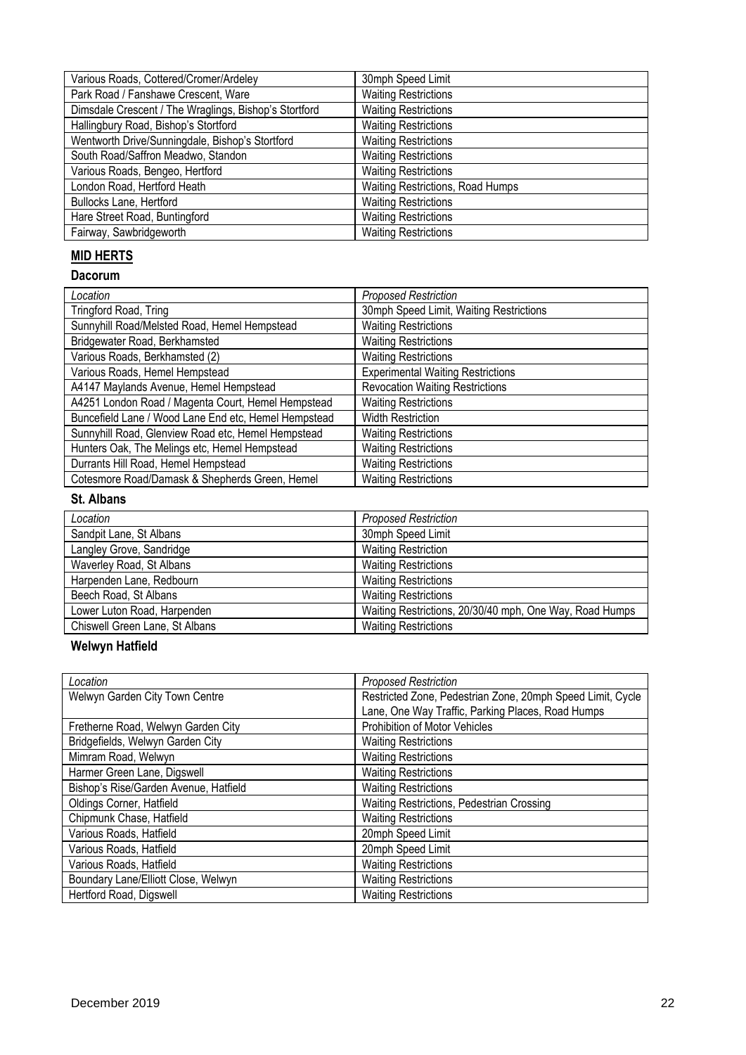| Various Roads, Cottered/Cromer/Ardeley                | 30mph Speed Limit                |
|-------------------------------------------------------|----------------------------------|
| Park Road / Fanshawe Crescent, Ware                   | <b>Waiting Restrictions</b>      |
| Dimsdale Crescent / The Wraglings, Bishop's Stortford | <b>Waiting Restrictions</b>      |
| Hallingbury Road, Bishop's Stortford                  | <b>Waiting Restrictions</b>      |
| Wentworth Drive/Sunningdale, Bishop's Stortford       | <b>Waiting Restrictions</b>      |
| South Road/Saffron Meadwo, Standon                    | <b>Waiting Restrictions</b>      |
| Various Roads, Bengeo, Hertford                       | <b>Waiting Restrictions</b>      |
| London Road, Hertford Heath                           | Waiting Restrictions, Road Humps |
| <b>Bullocks Lane, Hertford</b>                        | <b>Waiting Restrictions</b>      |
| Hare Street Road, Buntingford                         | <b>Waiting Restrictions</b>      |
| Fairway, Sawbridgeworth                               | <b>Waiting Restrictions</b>      |

# **MID HERTS**

#### **Dacorum**

| Location                                             | <b>Proposed Restriction</b>              |
|------------------------------------------------------|------------------------------------------|
| Tringford Road, Tring                                | 30mph Speed Limit, Waiting Restrictions  |
| Sunnyhill Road/Melsted Road, Hemel Hempstead         | <b>Waiting Restrictions</b>              |
| Bridgewater Road, Berkhamsted                        | <b>Waiting Restrictions</b>              |
| Various Roads, Berkhamsted (2)                       | <b>Waiting Restrictions</b>              |
| Various Roads, Hemel Hempstead                       | <b>Experimental Waiting Restrictions</b> |
| A4147 Maylands Avenue, Hemel Hempstead               | <b>Revocation Waiting Restrictions</b>   |
| A4251 London Road / Magenta Court, Hemel Hempstead   | <b>Waiting Restrictions</b>              |
| Buncefield Lane / Wood Lane End etc, Hemel Hempstead | <b>Width Restriction</b>                 |
| Sunnyhill Road, Glenview Road etc, Hemel Hempstead   | <b>Waiting Restrictions</b>              |
| Hunters Oak, The Melings etc, Hemel Hempstead        | <b>Waiting Restrictions</b>              |
| Durrants Hill Road, Hemel Hempstead                  | <b>Waiting Restrictions</b>              |
| Cotesmore Road/Damask & Shepherds Green, Hemel       | <b>Waiting Restrictions</b>              |

## **St. Albans**

| Location                       | <b>Proposed Restriction</b>                             |
|--------------------------------|---------------------------------------------------------|
| Sandpit Lane, St Albans        | 30mph Speed Limit                                       |
| Langley Grove, Sandridge       | <b>Waiting Restriction</b>                              |
| Waverley Road, St Albans       | <b>Waiting Restrictions</b>                             |
| Harpenden Lane, Redbourn       | <b>Waiting Restrictions</b>                             |
| Beech Road, St Albans          | <b>Waiting Restrictions</b>                             |
| Lower Luton Road, Harpenden    | Waiting Restrictions, 20/30/40 mph, One Way, Road Humps |
| Chiswell Green Lane, St Albans | <b>Waiting Restrictions</b>                             |

## **Welwyn Hatfield**

| Location                              | <b>Proposed Restriction</b>                                |
|---------------------------------------|------------------------------------------------------------|
| Welwyn Garden City Town Centre        | Restricted Zone, Pedestrian Zone, 20mph Speed Limit, Cycle |
|                                       | Lane, One Way Traffic, Parking Places, Road Humps          |
| Fretherne Road, Welwyn Garden City    | Prohibition of Motor Vehicles                              |
| Bridgefields, Welwyn Garden City      | <b>Waiting Restrictions</b>                                |
| Mimram Road, Welwyn                   | <b>Waiting Restrictions</b>                                |
| Harmer Green Lane, Digswell           | <b>Waiting Restrictions</b>                                |
| Bishop's Rise/Garden Avenue, Hatfield | <b>Waiting Restrictions</b>                                |
| Oldings Corner, Hatfield              | Waiting Restrictions, Pedestrian Crossing                  |
| Chipmunk Chase, Hatfield              | <b>Waiting Restrictions</b>                                |
| Various Roads, Hatfield               | 20mph Speed Limit                                          |
| Various Roads, Hatfield               | 20mph Speed Limit                                          |
| Various Roads, Hatfield               | <b>Waiting Restrictions</b>                                |
| Boundary Lane/Elliott Close, Welwyn   | <b>Waiting Restrictions</b>                                |
| Hertford Road, Digswell               | <b>Waiting Restrictions</b>                                |